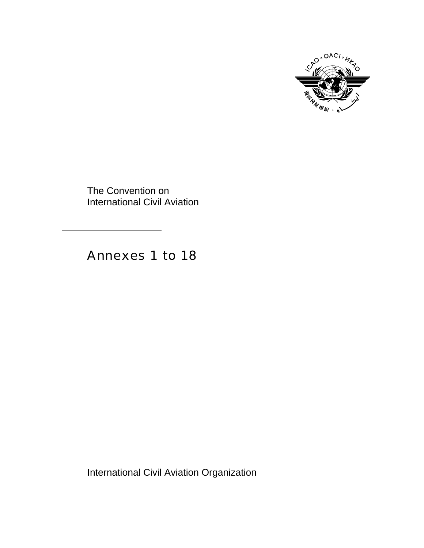

The Convention on International Civil Aviation

# Annexes 1 to 18

International Civil Aviation Organization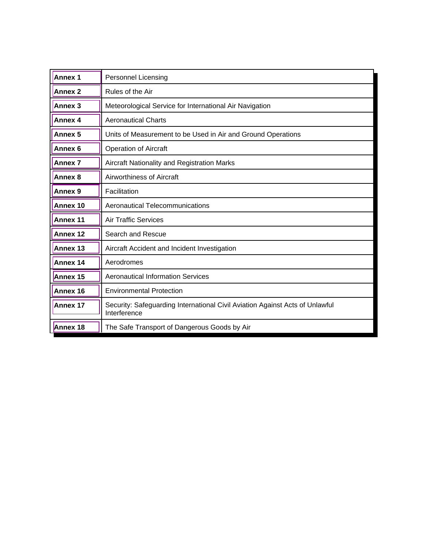| Annex 1            | <b>Personnel Licensing</b>                                                                   |
|--------------------|----------------------------------------------------------------------------------------------|
| Annex <sub>2</sub> | Rules of the Air                                                                             |
| Annex <sub>3</sub> | Meteorological Service for International Air Navigation                                      |
| Annex 4            | <b>Aeronautical Charts</b>                                                                   |
| Annex 5            | Units of Measurement to be Used in Air and Ground Operations                                 |
| Annex 6            | <b>Operation of Aircraft</b>                                                                 |
| <b>Annex 7</b>     | Aircraft Nationality and Registration Marks                                                  |
| Annex 8            | Airworthiness of Aircraft                                                                    |
| Annex 9            | Facilitation                                                                                 |
| Annex 10           | Aeronautical Telecommunications                                                              |
| <b>Annex 11</b>    | <b>Air Traffic Services</b>                                                                  |
| Annex 12           | Search and Rescue                                                                            |
| Annex 13           | Aircraft Accident and Incident Investigation                                                 |
| Annex 14           | Aerodromes                                                                                   |
| Annex 15           | <b>Aeronautical Information Services</b>                                                     |
| Annex 16           | <b>Environmental Protection</b>                                                              |
| Annex 17           | Security: Safeguarding International Civil Aviation Against Acts of Unlawful<br>Interference |
| Annex 18           | The Safe Transport of Dangerous Goods by Air                                                 |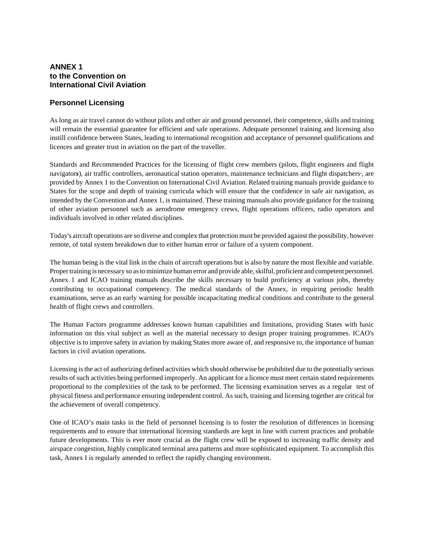# <span id="page-2-0"></span>**ANNEX 1 to the Convention on International Civil Aviation**

## **Personnel Licensing**

As long as air travel cannot do without pilots and other air and ground personnel, their competence, skills and training will remain the essential guarantee for efficient and safe operations. Adequate personnel training and licensing also instill confidence between States, leading to international recognition and acceptance of personnel qualifications and licences and greater trust in aviation on the part of the traveller.

Standards and Recommended Practices for the licensing of flight crew members (pilots, flight engineers and flight navigators), air traffic controllers, aeronautical station operators, maintenance technicians and flight dispatchers-, are provided by Annex 1 to the Convention on International Civil Aviation. Related training manuals provide guidance to States for the scope and depth of training curricula which will ensure that the confidence in safe air navigation, as intended by the Convention and Annex 1, is maintained. These training manuals also provide guidance for the training of other aviation personnel such as aerodrome emergency crews, flight operations officers, radio operators and individuals involved in other related disciplines.

Today's aircraft operations are so diverse and complex that protection must be provided against the possibility, however remote, of total system breakdown due to either human error or failure of a system component.

The human being is the vital link in the chain of aircraft operations but is also by nature the most flexible and variable. Proper training is necessary so as to minimize human error and provide able, skilful, proficient and competent personnel. Annex 1 and ICAO training manuals describe the skills necessary to build proficiency at various jobs, thereby contributing to occupational competency. The medical standards of the Annex, in requiring periodic health examinations, serve as an early warning for possible incapacitating medical conditions and contribute to the general health of flight crews and controllers.

The Human Factors programme addresses known human capabilities and limitations, providing States with basic information on this vital subject as well as the material necessary to design proper training programmes. ICAO's objective is to improve safety in aviation by making States more aware of*,* and responsive to*,* the importance of human factors in civil aviation operations.

Licensing is the act of authorizing defined activities which should otherwise be prohibited due to the potentially serious results of such activities being performed improperly. An applicant for a licence must meet certain stated requirements proportional to the complexities of the task to be performed. The licensing examination serves as a regular test of physical fitness and performance ensuring independent control. As such, training and licensing together are critical for the achievement of overall competency.

One of ICAO's main tasks in the field of personnel licensing is to foster the resolution of differences in licensing requirements and to ensure that international licensing standards are kept in line with current practices and probable future developments. This is ever more crucial as the flight crew will be exposed to increasing traffic density and airspace congestion, highly complicated terminal area patterns and more sophisticated equipment. To accomplish this task, Annex I is regularly amended to reflect the rapidly changing environment.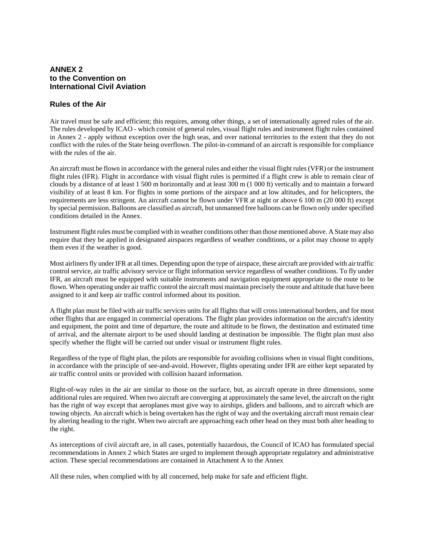#### <span id="page-3-0"></span>**ANNEX 2 to the Convention on International Civil Aviation**

#### **Rules of the Air**

Air travel must be safe and efficient; this requires, among other things, a set of internationally agreed rules of the air. The rules developed by ICAO - which consist of general rules, visual flight rules and instrument flight rules contained in Annex 2 - apply without exception over the high seas, and over national territories to the extent that they do not conflict with the rules of the State being overflown. The pilot-in-command of an aircraft is responsible for compliance with the rules of the air.

An aircraft must be flown in accordance with the general rules and either the visual flight rules (VFR) or the instrument flight rules (IFR). Flight in accordance with visual flight rules is permitted if a flight crew is able to remain clear of clouds by a distance of at least 1 500 m horizontally and at least 300 m (1 000 ft) vertically and to maintain a forward visibility of at least 8 km. For flights in some portions of the airspace and at low altitudes, and for helicopters, the requirements are less stringent. An aircraft cannot be flown under VFR at night or above 6 100 m (20 000 ft) except by special permission. Balloons are classified as aircraft, but unmanned free balloons can be flown only under specified conditions detailed in the Annex.

Instrument flight rules must be complied with in weather conditions other than those mentioned above. A State may also require that they be applied in designated airspaces regardless of weather conditions, or a pilot may choose to apply them even if the weather is good.

Most airliners fly under IFR at all times. Depending upon the type of airspace, these aircraft are provided with air traffic control service, air traffic advisory service or flight information service regardless of weather conditions. To fly under IFR, an aircraft must be equipped with suitable instruments and navigation equipment appropriate to the route to be flown. When operating under air traffic control the aircraft must maintain precisely the route and altitude that have been assigned to it and keep air traffic control informed about its position.

A flight plan must be filed with air traffic services units for all flights that will cross international borders, and for most other flights that are engaged in commercial operations. The flight plan provides information on the aircraft's identity and equipment, the point and time of departure, the route and altitude to be flown, the destination and estimated time of arrival, and the alternate airport to be used should landing at destination be impossible. The flight plan must also specify whether the flight will be carried out under visual or instrument flight rules.

Regardless of the type of flight plan, the pilots are responsible for avoiding collisions when in visual flight conditions, in accordance with the principle of see-and-avoid. However, flights operating under IFR are either kept separated by air traffic control units or provided with collision hazard information.

Right-of-way rules in the air are similar to those on the surface, but, as aircraft operate in three dimensions, some additional rules are required. When two aircraft are converging at approximately the same level, the aircraft on the right has the right of way except that aeroplanes must give way to airships, gliders and balloons, and to aircraft which are towing objects. An aircraft which is being overtaken has the right of way and the overtaking aircraft must remain clear by altering heading to the right. When two aircraft are approaching each other head on they must both alter heading to the right.

As interceptions of civil aircraft are, in all cases, potentially hazardous, the Council of ICAO has formulated special recommendations in Annex 2 which States are urged to implement through appropriate regulatory and administrative action. These special recommendations are contained in Attachment A to the Annex

All these rules, when complied with by all concerned, help make for safe and efficient flight.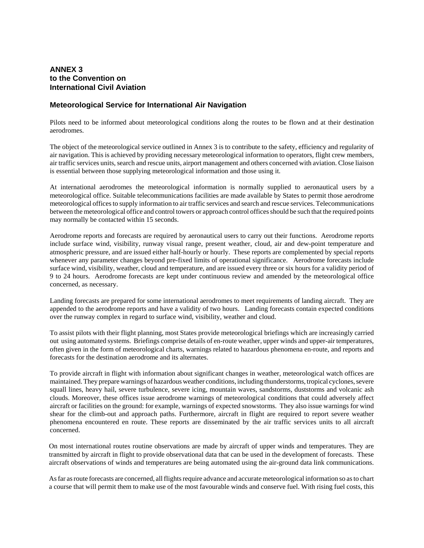#### <span id="page-4-0"></span>**ANNEX 3 to the Convention on International Civil Aviation**

#### **Meteorological Service for International Air Navigation**

Pilots need to be informed about meteorological conditions along the routes to be flown and at their destination aerodromes.

The object of the meteorological service outlined in Annex 3 is to contribute to the safety, efficiency and regularity of air navigation. This is achieved by providing necessary meteorological information to operators, flight crew members, air traffic services units, search and rescue units, airport management and others concerned with aviation. Close liaison is essential between those supplying meteorological information and those using it.

At international aerodromes the meteorological information is normally supplied to aeronautical users by a meteorological office. Suitable telecommunications facilities are made available by States to permit those aerodrome meteorological offices to supply information to air traffic services and search and rescue services. Telecommunications between the meteorological office and control towers or approach control offices should be such that the required points may normally be contacted within 15 seconds.

Aerodrome reports and forecasts are required by aeronautical users to carry out their functions. Aerodrome reports include surface wind, visibility, runway visual range, present weather, cloud, air and dew-point temperature and atmospheric pressure, and are issued either half-hourly or hourly. These reports are complemented by special reports whenever any parameter changes beyond pre-fixed limits of operational significance. Aerodrome forecasts include surface wind, visibility, weather, cloud and temperature, and are issued every three or six hours for a validity period of 9 to 24 hours. Aerodrome forecasts are kept under continuous review and amended by the meteorological office concerned, as necessary.

Landing forecasts are prepared for some international aerodromes to meet requirements of landing aircraft. They are appended to the aerodrome reports and have a validity of two hours. Landing forecasts contain expected conditions over the runway complex in regard to surface wind, visibility, weather and cloud.

To assist pilots with their flight planning, most States provide meteorological briefings which are increasingly carried out using automated systems. Briefings comprise details of en-route weather, upper winds and upper-air temperatures, often given in the form of meteorological charts, warnings related to hazardous phenomena en-route, and reports and forecasts for the destination aerodrome and its alternates.

To provide aircraft in flight with information about significant changes in weather, meteorological watch offices are maintained. They prepare warnings of hazardous weather conditions, including thunderstorms, tropical cyclones, severe squall lines, heavy hail, severe turbulence, severe icing, mountain waves, sandstorms, duststorms and volcanic ash clouds. Moreover, these offices issue aerodrome warnings of meteorological conditions that could adversely affect aircraft or facilities on the ground: for example, warnings of expected snowstorms. They also issue warnings for wind shear for the climb-out and approach paths. Furthermore, aircraft in flight are required to report severe weather phenomena encountered en route. These reports are disseminated by the air traffic services units to all aircraft concerned.

On most international routes routine observations are made by aircraft of upper winds and temperatures. They are transmitted by aircraft in flight to provide observational data that can be used in the development of forecasts. These aircraft observations of winds and temperatures are being automated using the air-ground data link communications.

As far as route forecasts are concerned, all flights require advance and accurate meteorological information so as to chart a course that will permit them to make use of the most favourable winds and conserve fuel. With rising fuel costs, this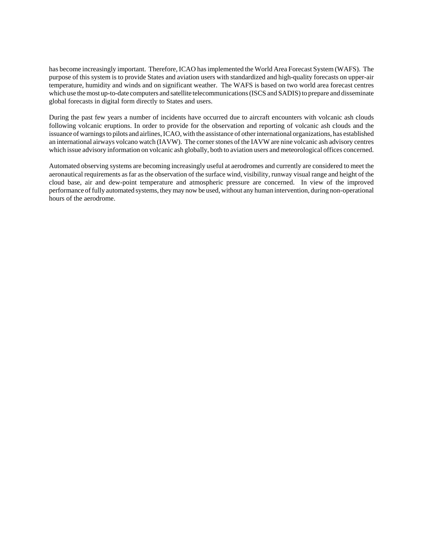has become increasingly important. Therefore, ICAO has implemented the World Area Forecast System (WAFS). The purpose of this system is to provide States and aviation users with standardized and high-quality forecasts on upper-air temperature, humidity and winds and on significant weather. The WAFS is based on two world area forecast centres which use the most up-to-date computers and satellite telecommunications (ISCS and SADIS) to prepare and disseminate global forecasts in digital form directly to States and users.

During the past few years a number of incidents have occurred due to aircraft encounters with volcanic ash clouds following volcanic eruptions. In order to provide for the observation and reporting of volcanic ash clouds and the issuance of warnings to pilots and airlines, ICAO, with the assistance of other international organizations, has established an international airways volcano watch (IAVW). The corner stones of the IAVW are nine volcanic ash advisory centres which issue advisory information on volcanic ash globally, both to aviation users and meteorological offices concerned.

Automated observing systems are becoming increasingly useful at aerodromes and currently are considered to meet the aeronautical requirements as far as the observation of the surface wind, visibility, runway visual range and height of the cloud base, air and dew-point temperature and atmospheric pressure are concerned. In view of the improved performance of fully automated systems, they may now be used, without any human intervention, during non-operational hours of the aerodrome.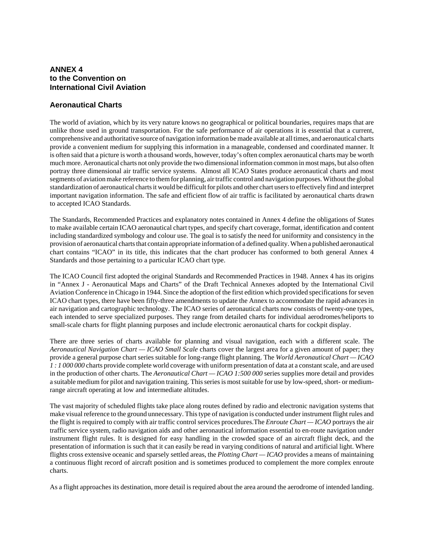#### <span id="page-6-0"></span>**ANNEX 4 to the Convention on International Civil Aviation**

## **Aeronautical Charts**

The world of aviation, which by its very nature knows no geographical or political boundaries, requires maps that are unlike those used in ground transportation. For the safe performance of air operations it is essential that a current, comprehensive and authoritative source of navigation information be made available at all times, and aeronautical charts provide a convenient medium for supplying this information in a manageable, condensed and coordinated manner. It is often said that a picture is worth a thousand words, however, today's often complex aeronautical charts may be worth much more. Aeronautical charts not only provide the two dimensional information common in most maps, but also often portray three dimensional air traffic service systems. Almost all ICAO States produce aeronautical charts and most segments of aviation make reference to them for planning, air traffic control and navigation purposes. Without the global standardization of aeronautical charts it would be difficult for pilots and other chart users to effectively find and interpret important navigation information. The safe and efficient flow of air traffic is facilitated by aeronautical charts drawn to accepted ICAO Standards.

The Standards, Recommended Practices and explanatory notes contained in Annex 4 define the obligations of States to make available certain ICAO aeronautical chart types, and specify chart coverage, format, identification and content including standardized symbology and colour use. The goal is to satisfy the need for uniformity and consistency in the provision of aeronautical charts that contain appropriate information of a defined quality. When a published aeronautical chart contains "ICAO" in its title, this indicates that the chart producer has conformed to both general Annex 4 Standards and those pertaining to a particular ICAO chart type.

The ICAO Council first adopted the original Standards and Recommended Practices in 1948. Annex 4 has its origins in "Annex J - Aeronautical Maps and Charts" of the Draft Technical Annexes adopted by the International Civil Aviation Conference in Chicago in 1944. Since the adoption of the first edition which provided specifications for seven ICAO chart types, there have been fifty-three amendments to update the Annex to accommodate the rapid advances in air navigation and cartographic technology. The ICAO series of aeronautical charts now consists of twenty-one types, each intended to serve specialized purposes. They range from detailed charts for individual aerodromes/heliports to small-scale charts for flight planning purposes and include electronic aeronautical charts for cockpit display.

There are three series of charts available for planning and visual navigation, each with a different scale. The *Aeronautical Navigation Chart — ICAO Small Scale* charts cover the largest area for a given amount of paper; they provide a general purpose chart series suitable for long-range flight planning. The *World Aeronautical Chart — ICAO 1 : 1 000 000* charts provide complete world coverage with uniform presentation of data at a constant scale, and are used in the production of other charts. The *Aeronautical Chart — ICAO 1:500 000* series supplies more detail and provides a suitable medium for pilot and navigation training. This series is most suitable for use by low-speed, short- or mediumrange aircraft operating at low and intermediate altitudes.

The vast majority of scheduled flights take place along routes defined by radio and electronic navigation systems that make visual reference to the ground unnecessary. This type of navigation is conducted under instrument flight rules and the flight is required to comply with air traffic control services procedures.The *Enroute Chart — ICAO* portrays the air traffic service system, radio navigation aids and other aeronautical information essential to en-route navigation under instrument flight rules. It is designed for easy handling in the crowded space of an aircraft flight deck, and the presentation of information is such that it can easily be read in varying conditions of natural and artificial light. Where flights cross extensive oceanic and sparsely settled areas, the *Plotting Chart — ICAO* provides a means of maintaining a continuous flight record of aircraft position and is sometimes produced to complement the more complex enroute charts.

As a flight approaches its destination, more detail is required about the area around the aerodrome of intended landing.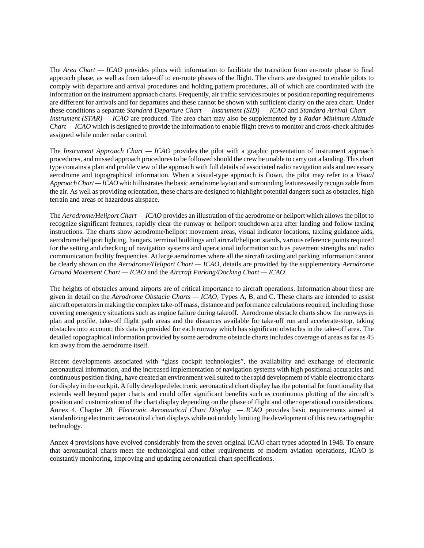The *Area Chart — ICAO* provides pilots with information to facilitate the transition from en-route phase to final approach phase, as well as from take-off to en-route phases of the flight. The charts are designed to enable pilots to comply with departure and arrival procedures and holding pattern procedures, all of which are coordinated with the information on the instrument approach charts. Frequently, air traffic services routes or position reporting requirements are different for arrivals and for departures and these cannot be shown with sufficient clarity on the area chart. Under these conditions a separate *Standard Departure Chart — Instrument (SID) — ICAO* and *Standard Arrival Chart — Instrument (STAR) — ICAO* are produced. The area chart may also be supplemented by a *Radar Minimum Altitude Chart — ICAO* which is designed to provide the information to enable flight crews to monitor and cross-check altitudes assigned while under radar control.

The *Instrument Approach Chart — ICAO* provides the pilot with a graphic presentation of instrument approach procedures, and missed approach procedures to be followed should the crew be unable to carry out a landing. This chart type contains a plan and profile view of the approach with full details of associated radio navigation aids and necessary aerodrome and topographical information. When a visual-type approach is flown, the pilot may refer to a *Visual Approach Chart — ICAO* which illustrates the basic aerodrome layout and surrounding features easily recognizable from the air. As well as providing orientation, these charts are designed to highlight potential dangers such as obstacles, high terrain and areas of hazardous airspace.

The *Aerodrome/Heliport Chart — ICAO* provides an illustration of the aerodrome or heliport which allows the pilot to recognize significant features, rapidly clear the runway or heliport touchdown area after landing and follow taxiing instructions. The charts show aerodrome/heliport movement areas, visual indicator locations, taxiing guidance aids, aerodrome/heliport lighting, hangars, terminal buildings and aircraft/heliport stands, various reference points required for the setting and checking of navigation systems and operational information such as pavement strengths and radio communication facility frequencies. At large aerodromes where all the aircraft taxiing and parking information cannot be clearly shown on the *Aerodrome/Heliport Chart — ICAO,* details are provided by the supplementary *Aerodrome Ground Movement Chart — ICAO* and the *Aircraft Parking/Docking Chart — ICAO*.

The heights of obstacles around airports are of critical importance to aircraft operations. Information about these are given in detail on the *Aerodrome Obstacle Charts — ICAO*, Types A, B, and C. These charts are intended to assist aircraft operators in making the complex take-off mass, distance and performance calculations required, including those covering emergency situations such as engine failure during takeoff. Aerodrome obstacle charts show the runways in plan and profile, take-off flight path areas and the distances available for take-off run and accelerate-stop, taking obstacles into account; this data is provided for each runway which has significant obstacles in the take-off area. The detailed topographical information provided by some aerodrome obstacle charts includes coverage of areas as far as 45 km away from the aerodrome itself.

Recent developments associated with "glass cockpit technologies", the availability and exchange of electronic aeronautical information, and the increased implementation of navigation systems with high positional accuracies and continuous position fixing, have created an environment well suited to the rapid development of viable electronic charts for display in the cockpit. A fully developed electronic aeronautical chart display has the potential for functionality that extends well beyond paper charts and could offer significant benefits such as continuous plotting of the aircraft's position and customization of the chart display depending on the phase of flight and other operational considerations. Annex 4, Chapter 20 *Electronic Aeronautical Chart Display — ICAO* provides basic requirements aimed at standardizing electronic aeronautical chart displays while not unduly limiting the development of this new cartographic technology.

Annex 4 provisions have evolved considerably from the seven original ICAO chart types adopted in 1948. To ensure that aeronautical charts meet the technological and other requirements of modern aviation operations, ICAO is constantly monitoring, improving and updating aeronautical chart specifications.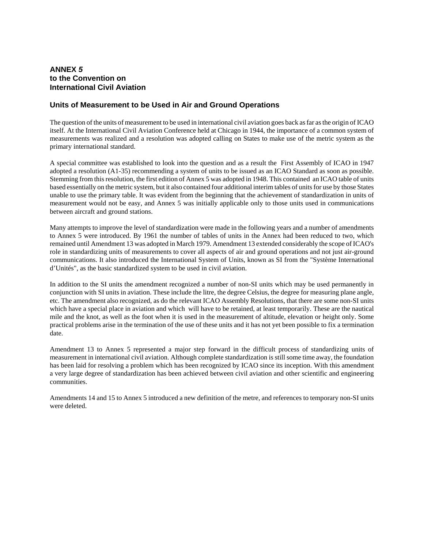## <span id="page-8-0"></span>**ANNEX** *5* **to the Convention on International Civil Aviation**

#### **Units of Measurement to be Used in Air and Ground Operations**

The question of the units of measurement to be used in international civil aviation goes back as far as the origin of ICAO itself. At the International Civil Aviation Conference held at Chicago in 1944, the importance of a common system of measurements was realized and a resolution was adopted calling on States to make use of the metric system as the primary international standard.

A special committee was established to look into the question and as a result the First Assembly of ICAO in 1947 adopted a resolution (A1-35) recommending a system of units to be issued as an ICAO Standard as soon as possible. Stemming from this resolution, the first edition of Annex 5 was adopted in 1948. This contained an ICAO table of units based essentially on the metric system, but it also contained four additional interim tables of units for use by those States unable to use the primary table. It was evident from the beginning that the achievement of standardization in units of measurement would not be easy, and Annex 5 was initially applicable only to those units used in communications between aircraft and ground stations.

Many attempts to improve the level of standardization were made in the following years and a number of amendments to Annex 5 were introduced. By 1961 the number of tables of units in the Annex had been reduced to two, which remained until Amendment 13 was adopted in March 1979. Amendment 13 extended considerably the scope of ICAO's role in standardizing units of measurements to cover all aspects of air and ground operations and not just air-ground communications. It also introduced the International System of Units, known as SI from the "Système International d'Unités", as the basic standardized system to be used in civil aviation.

In addition to the SI units the amendment recognized a number of non-SI units which may be used permanently in conjunction with SI units in aviation. These include the litre, the degree Celsius, the degree for measuring plane angle, etc. The amendment also recognized, as do the relevant ICAO Assembly Resolutions, that there are some non-SI units which have a special place in aviation and which will have to be retained, at least temporarily. These are the nautical mile and the knot, as well as the foot when it is used in the measurement of altitude, elevation or height only. Some practical problems arise in the termination of the use of these units and it has not yet been possible to fix a termination date.

Amendment 13 to Annex 5 represented a major step forward in the difficult process of standardizing units of measurement in international civil aviation. Although complete standardization is still some time away, the foundation has been laid for resolving a problem which has been recognized by ICAO since its inception. With this amendment a very large degree of standardization has been achieved between civil aviation and other scientific and engineering communities.

Amendments 14 and 15 to Annex 5 introduced a new definition of the metre, and references to temporary non-SI units were deleted.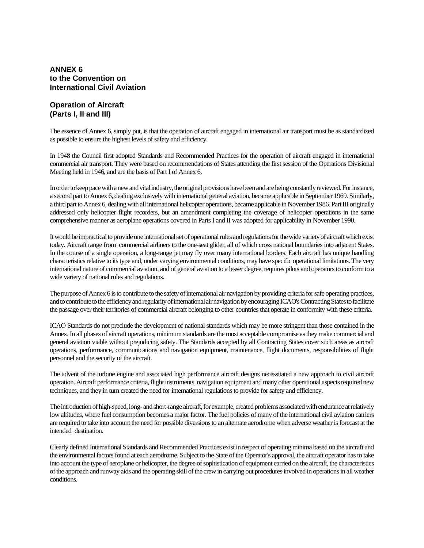#### <span id="page-9-0"></span>**ANNEX 6 to the Convention on International Civil Aviation**

# **Operation of Aircraft (Parts I, II and III)**

The essence of Annex 6, simply put, is that the operation of aircraft engaged in international air transport must be as standardized as possible to ensure the highest levels of safety and efficiency.

In 1948 the Council first adopted Standards and Recommended Practices for the operation of aircraft engaged in international commercial air transport. They were based on recommendations of States attending the first session of the Operations Divisional Meeting held in 1946, and are the basis of Part I of Annex 6.

In order to keep pace with a new and vital industry, the original provisions have been and are being constantly reviewed. For instance, a second part to Annex 6, dealing exclusively with international general aviation, became applicable in September 1969. Similarly, a third part to Annex 6, dealing with all international helicopter operations, became applicable in November 1986. Part III originally addressed only helicopter flight recorders, but an amendment completing the coverage of helicopter operations in the same comprehensive manner as aeroplane operations covered in Parts I and II was adopted for applicability in November 1990.

It would be impractical to provide one international set of operational rules and regulations for the wide variety of aircraft which exist today. Aircraft range from commercial airliners to the one-seat glider, all of which cross national boundaries into adjacent States. In the course of a single operation, a long-range jet may fly over many international borders. Each aircraft has unique handling characteristics relative to its type and, under varying environmental conditions, may have specific operational limitations. The very international nature of commercial aviation, and of general aviation to a lesser degree, requires pilots and operators to conform to a wide variety of national rules and regulations.

The purpose of Annex 6 is to contribute to the safety of international air navigation by providing criteria for safe operating practices, and to contribute to the efficiency and regularity of international air navigation by encouraging ICAO's Contracting States to facilitate the passage over their territories of commercial aircraft belonging to other countries that operate in conformity with these criteria.

ICAO Standards do not preclude the development of national standards which may be more stringent than those contained in the Annex. In all phases of aircraft operations, minimum standards are the most acceptable compromise as they make commercial and general aviation viable without prejudicing safety. The Standards accepted by all Contracting States cover such areas as aircraft operations, performance, communications and navigation equipment, maintenance, flight documents, responsibilities of flight personnel and the security of the aircraft.

The advent of the turbine engine and associated high performance aircraft designs necessitated a new approach to civil aircraft operation. Aircraft performance criteria, flight instruments, navigation equipment and many other operational aspects required new techniques, and they in turn created the need for international regulations to provide for safety and efficiency.

The introduction of high-speed, long- and short-range aircraft, for example, created problems associated with endurance at relatively low altitudes, where fuel consumption becomes a major factor. The fuel policies of many of the international civil aviation carriers are required to take into account the need for possible diversions to an alternate aerodrome when adverse weather is forecast at the intended destination.

Clearly defined International Standards and Recommended Practices exist in respect of operating minima based on the aircraft and the environmental factors found at each aerodrome. Subject to the State of the Operator's approval, the aircraft operator has to take into account the type of aeroplane or helicopter, the degree of sophistication of equipment carried on the aircraft, the characteristics of the approach and runway aids and the operating skill of the crew in carrying out procedures involved in operations in all weather conditions.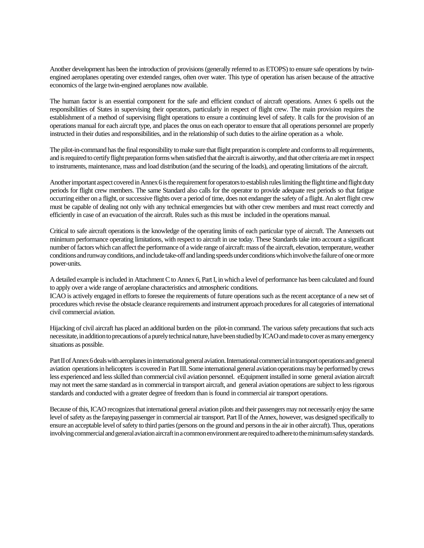Another development has been the introduction of provisions (generally referred to as ETOPS) to ensure safe operations by twinengined aeroplanes operating over extended ranges, often over water. This type of operation has arisen because of the attractive economics of the large twin-engined aeroplanes now available.

The human factor is an essential component for the safe and efficient conduct of aircraft operations. Annex 6 spells out the responsibilities of States in supervising their operators, particularly in respect of flight crew. The main provision requires the establishment of a method of supervising flight operations to ensure a continuing level of safety. It calls for the provision of an operations manual for each aircraft type, and places the onus on each operator to ensure that all operations personnel are properly instructed in their duties and responsibilities, and in the relationship of such duties to the airline operation as a whole.

The pilot-in-command has the final responsibility to make sure that flight preparation is complete and conforms to all requirements, and is required to certify flight preparation forms when satisfied that the aircraft is airworthy, and that other criteria are met in respect to instruments, maintenance, mass and load distribution (and the securing of the loads), and operating limitations of the aircraft.

Another important aspect covered in Annex 6 is the requirement for operators to establish rules limiting the flight time and flight duty periods for flight crew members. The same Standard also calls for the operator to provide adequate rest periods so that fatigue occurring either on a flight, or successive flights over a period of time, does not endanger the safety of a flight. An alert flight crew must be capable of dealing not only with any technical emergencies but with other crew members and must react correctly and efficiently in case of an evacuation of the aircraft. Rules such as this must be included in the operations manual.

Critical to safe aircraft operations is the knowledge of the operating limits of each particular type of aircraft. The Annexsets out minimum performance operating limitations, with respect to aircraft in use today. These Standards take into account a significant number of factors which can affect the performance of a wide range of aircraft: mass of the aircraft, elevation, temperature, weather conditions and runway conditions, and include take-off and landing speeds under conditions which involve the failure of one or more power-units.

A detailed example is included in Attachment C to Annex 6, Part I, in which a level of performance has been calculated and found to apply over a wide range of aeroplane characteristics and atmospheric conditions.

ICAO is actively engaged in efforts to foresee the requirements of future operations such as the recent acceptance of a new set of procedures which revise the obstacle clearance requirements and instrument approach procedures for all categories of international civil commercial aviation.

Hijacking of civil aircraft has placed an additional burden on the pilot-in command. The various safety precautions that such acts necessitate, in addition to precautions of a purely technical nature, have been studied by ICAO and made to cover as many emergency situations as possible.

Part II of Annex 6 deals with aeroplanes in international general aviation. International commercial in transport operations and general aviation operations in helicopters is covered in Part III. Some international general aviation operations may be performed by crews less experienced and less skilled than commercial civil aviation personnel. eEquipment installed in some general aviation aircraft may not meet the same standard as in commercial in transport aircraft, and general aviation operations are subject to less rigorous standards and conducted with a greater degree of freedom than is found in commercial air transport operations.

Because of this, ICAO recognizes that international general aviation pilots and their passengers may not necessarily enjoy the same level of safety as the farepaying passenger in commercial air transport. Part II of the Annex, however, was designed specifically to ensure an acceptable level of safety to third parties (persons on the ground and persons in the air in other aircraft). Thus, operations involving commercial and general aviation aircraft in a common environment are required to adhere to the minimum safety standards.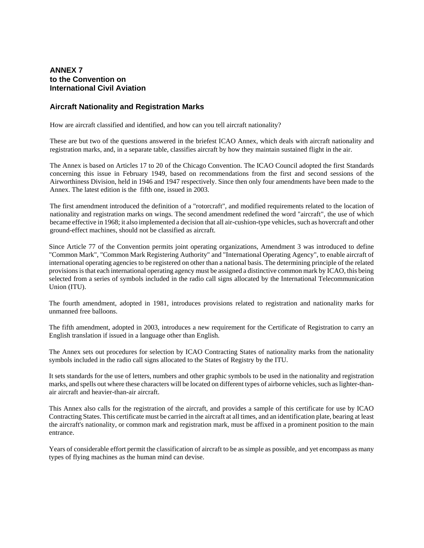#### <span id="page-11-0"></span>**ANNEX 7 to the Convention on International Civil Aviation**

#### **Aircraft Nationality and Registration Marks**

How are aircraft classified and identified, and how can you tell aircraft nationality?

These are but two of the questions answered in the briefest ICAO Annex, which deals with aircraft nationality and registration marks, and, in a separate table, classifies aircraft by how they maintain sustained flight in the air.

The Annex is based on Articles 17 to 20 of the Chicago Convention. The ICAO Council adopted the first Standards concerning this issue in February 1949, based on recommendations from the first and second sessions of the Airworthiness Division, held in 1946 and 1947 respectively. Since then only four amendments have been made to the Annex. The latest edition is the fifth one, issued in 2003.

The first amendment introduced the definition of a "rotorcraft", and modified requirements related to the location of nationality and registration marks on wings. The second amendment redefined the word "aircraft", the use of which became effective in 1968; it also implemented a decision that all air-cushion-type vehicles, such as hovercraft and other ground-effect machines, should not be classified as aircraft.

Since Article 77 of the Convention permits joint operating organizations, Amendment 3 was introduced to define "Common Mark", "Common Mark Registering Authority" and "International Operating Agency", to enable aircraft of international operating agencies to be registered on other than a national basis. The determining principle of the related provisions is that each international operating agency must be assigned a distinctive common mark by ICAO, this being selected from a series of symbols included in the radio call signs allocated by the International Telecommunication Union (ITU).

The fourth amendment, adopted in 1981, introduces provisions related to registration and nationality marks for unmanned free balloons.

The fifth amendment, adopted in 2003, introduces a new requirement for the Certificate of Registration to carry an English translation if issued in a language other than English.

The Annex sets out procedures for selection by ICAO Contracting States of nationality marks from the nationality symbols included in the radio call signs allocated to the States of Registry by the ITU.

It sets standards for the use of letters, numbers and other graphic symbols to be used in the nationality and registration marks, and spells out where these characters will be located on different types of airborne vehicles, such as lighter-thanair aircraft and heavier-than-air aircraft.

This Annex also calls for the registration of the aircraft, and provides a sample of this certificate for use by ICAO Contracting States. This certificate must be carried in the aircraft at all times, and an identification plate, bearing at least the aircraft's nationality, or common mark and registration mark, must be affixed in a prominent position to the main entrance.

Years of considerable effort permit the classification of aircraft to be as simple as possible, and yet encompass as many types of flying machines as the human mind can devise.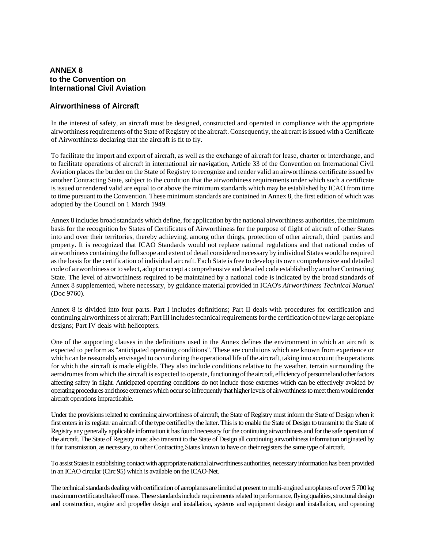#### <span id="page-12-0"></span>**ANNEX 8 to the Convention on International Civil Aviation**

#### **Airworthiness of Aircraft**

In the interest of safety, an aircraft must be designed, constructed and operated in compliance with the appropriate airworthiness requirements of the State of Registry of the aircraft. Consequently, the aircraft is issued with a Certificate of Airworthiness declaring that the aircraft is fit to fly.

To facilitate the import and export of aircraft, as well as the exchange of aircraft for lease, charter or interchange, and to facilitate operations of aircraft in international air navigation, Article 33 of the Convention on International Civil Aviation places the burden on the State of Registry to recognize and render valid an airworthiness certificate issued by another Contracting State, subject to the condition that the airworthiness requirements under which such a certificate is issued or rendered valid are equal to or above the minimum standards which may be established by ICAO from time to time pursuant to the Convention. These minimum standards are contained in Annex 8, the first edition of which was adopted by the Council on 1 March 1949.

Annex 8 includes broad standards which define, for application by the national airworthiness authorities, the minimum basis for the recognition by States of Certificates of Airworthiness for the purpose of flight of aircraft of other States into and over their territories, thereby achieving, among other things, protection of other aircraft, third parties and property. It is recognized that ICAO Standards would not replace national regulations and that national codes of airworthiness containing the full scope and extent of detail considered necessary by individual States would be required as the basis for the certification of individual aircraft. Each State is free to develop its own comprehensive and detailed code of airworthiness or to select, adopt or accept a comprehensive and detailed code established by another Contracting State. The level of airworthiness required to be maintained by a national code is indicated by the broad standards of Annex 8 supplemented, where necessary, by guidance material provided in ICAO's *Airworthiness Technical Manual* (Doc 9760).

Annex 8 is divided into four parts. Part I includes definitions; Part II deals with procedures for certification and continuing airworthiness of aircraft; Part III includes technical requirements for the certification of new large aeroplane designs; Part IV deals with helicopters.

One of the supporting clauses in the definitions used in the Annex defines the environment in which an aircraft is expected to perform as "anticipated operating conditions". These are conditions which are known from experience or which can be reasonably envisaged to occur during the operational life of the aircraft, taking into account the operations for which the aircraft is made eligible. They also include conditions relative to the weather, terrain surrounding the aerodromes from which the aircraft is expected to operate, functioning of the aircraft, efficiency of personnel and other factors affecting safety in flight. Anticipated operating conditions do not include those extremes which can be effectively avoided by operating procedures and those extremes which occur so infrequently that higher levels of airworthiness to meet them would render aircraft operations impracticable.

Under the provisions related to continuing airworthiness of aircraft, the State of Registry must inform the State of Design when it first enters in its register an aircraft of the type certified by the latter. This is to enable the State of Design to transmit to the State of Registry any generally applicable information it has found necessary for the continuing airworthiness and for the safe operation of the aircraft. The State of Registry must also transmit to the State of Design all continuing airworthiness information originated by it for transmission, as necessary, to other Contracting States known to have on their registers the same type of aircraft.

To assist States in establishing contact with appropriate national airworthiness authorities, necessary information has been provided in an ICAO circular (Circ 95) which is available on the ICAO-Net.

The technical standards dealing with certification of aeroplanes are limited at present to multi-engined aeroplanes of over 5 700 kg maximum certificated takeoff mass. These standards include requirements related to performance, flying qualities, structural design and construction, engine and propeller design and installation, systems and equipment design and installation, and operating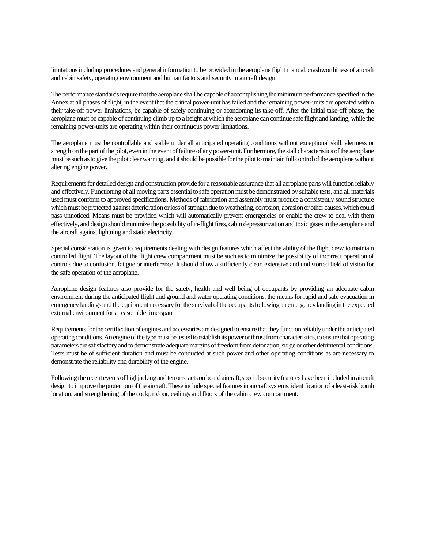limitations including procedures and general information to be provided in the aeroplane flight manual, crashworthiness of aircraft and cabin safety, operating environment and human factors and security in aircraft design.

The performance standards require that the aeroplane shall be capable of accomplishing the minimum performance specified in the Annex at all phases of flight, in the event that the critical power-unit has failed and the remaining power-units are operated within their take-off power limitations, be capable of safely continuing or abandoning its take-off. After the initial take-off phase, the aeroplane must be capable of continuing climb up to a height at which the aeroplane can continue safe flight and landing, while the remaining power-units are operating within their continuous power limitations.

The aeroplane must be controllable and stable under all anticipated operating conditions without exceptional skill, alertness or strength on the part of the pilot, even in the event of failure of any power-unit. Furthermore, the stall characteristics of the aeroplane must be such as to give the pilot clear warning, and it should be possible for the pilot to maintainfull control of the aeroplane without altering engine power.

Requirements for detailed design and construction provide for a reasonable assurance that all aeroplane parts will function reliably and effectively. Functioning of all moving parts essential to safe operation must be demonstrated by suitable tests, and all materials used must conform to approved specifications. Methods of fabrication and assembly must produce a consistently sound structure which must be protected against deterioration or loss of strength due to weathering, corrosion, abrasion or other causes, which could pass unnoticed. Means must be provided which will automatically prevent emergencies or enable the crew to deal with them effectively, and design should minimize the possibility of in-flight fires, cabin depressurization and toxic gases in the aeroplane and the aircraft against lightning and static electricity.

Special consideration is given to requirements dealing with design features which affect the ability of the flight crew to maintain controlled flight. The layout of the flight crew compartment must be such as to minimize the possibility of incorrect operation of controls due to confusion, fatigue or interference. It should allow a sufficiently clear, extensive and undistorted field of vision for the safe operation of the aeroplane.

Aeroplane design features also provide for the safety, health and well being of occupants by providing an adequate cabin environment during the anticipated flight and ground and water operating conditions, the means for rapid and safe evacuation in emergency landings and the equipment necessary for the survival of the occupants following an emergency landing in the expected external environment for a reasonable time-span.

Requirements for the certification of engines and accessories are designed to ensure that they function reliably under the anticipated operating conditions. An engine of the type must be tested to establish its power or thrust from characteristics, to ensure that operating parameters are satisfactory and to demonstrate adequate margins of freedom from detonation, surge or other detrimental conditions. Tests must be of sufficient duration and must be conducted at such power and other operating conditions as are necessary to demonstrate the reliability and durability of the engine.

Following the recent events of highjacking and terrorist acts on board aircraft, special security features have been included in aircraft design to improve the protection of the aircraft. These include special features in aircraft systems, identification of a least-risk bomb location, and strengthening of the cockpit door, ceilings and floors of the cabin crew compartment.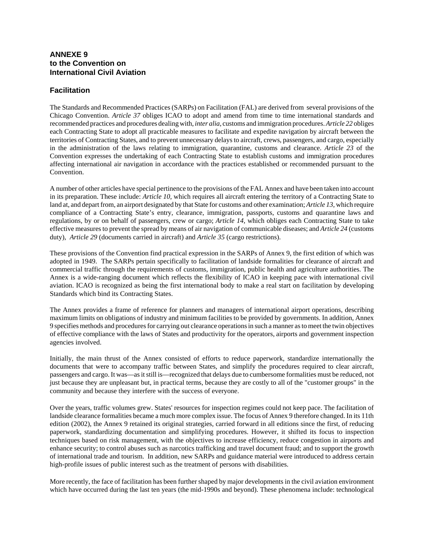## <span id="page-14-0"></span>**ANNEXE 9 to the Convention on International Civil Aviation**

## **Facilitation**

The Standards and Recommended Practices (SARPs) on Facilitation (FAL) are derived from several provisions of the Chicago Convention. *Article 37* obliges ICAO to adopt and amend from time to time international standards and recommended practices and procedures dealing with, *inter alia*, customs and immigration procedures. *Article 22* obliges each Contracting State to adopt all practicable measures to facilitate and expedite navigation by aircraft between the territories of Contracting States, and to prevent unnecessary delays to aircraft, crews, passengers, and cargo, especially in the administration of the laws relating to immigration, quarantine, customs and clearance. *Article 23* of the Convention expresses the undertaking of each Contracting State to establish customs and immigration procedures affecting international air navigation in accordance with the practices established or recommended pursuant to the Convention.

A number of other articles have special pertinence to the provisions of the FAL Annex and have been taken into account in its preparation. These include: *Article 10*, which requires all aircraft entering the territory of a Contracting State to land at, and depart from, an airport designated by that State for customs and other examination; *Article 13*, which require compliance of a Contracting State's entry, clearance, immigration, passports, customs and quarantine laws and regulations, by or on behalf of passengers, crew or cargo; *Article 14*, which obliges each Contracting State to take effective measures to prevent the spread by means of air navigation of communicable diseases; and *Article 24* (customs duty), *Article 29* (documents carried in aircraft) and *Article 35* (cargo restrictions).

These provisions of the Convention find practical expression in the SARPs of Annex 9, the first edition of which was adopted in 1949. The SARPs pertain specifically to facilitation of landside formalities for clearance of aircraft and commercial traffic through the requirements of customs, immigration, public health and agriculture authorities. The Annex is a wide-ranging document which reflects the flexibility of ICAO in keeping pace with international civil aviation. ICAO is recognized as being the first international body to make a real start on facilitation by developing Standards which bind its Contracting States.

The Annex provides a frame of reference for planners and managers of international airport operations, describing maximum limits on obligations of industry and minimum facilities to be provided by governments. In addition, Annex 9 specifies methods and procedures for carrying out clearance operations in such a manner as to meet the twin objectives of effective compliance with the laws of States and productivity for the operators, airports and government inspection agencies involved.

Initially, the main thrust of the Annex consisted of efforts to reduce paperwork, standardize internationally the documents that were to accompany traffic between States, and simplify the procedures required to clear aircraft, passengers and cargo. It was—as it still is—recognized that delays due to cumbersome formalities must be reduced, not just because they are unpleasant but, in practical terms, because they are costly to all of the "customer groups" in the community and because they interfere with the success of everyone.

Over the years, traffic volumes grew. States' resources for inspection regimes could not keep pace. The facilitation of landside clearance formalities became a much more complex issue. The focus of Annex 9 therefore changed. In its 11th edition (2002), the Annex 9 retained its original strategies, carried forward in all editions since the first, of reducing paperwork, standardizing documentation and simplifying procedures. However, it shifted its focus to inspection techniques based on risk management, with the objectives to increase efficiency, reduce congestion in airports and enhance security; to control abuses such as narcotics trafficking and travel document fraud; and to support the growth of international trade and tourism. In addition, new SARPs and guidance material were introduced to address certain high-profile issues of public interest such as the treatment of persons with disabilities.

More recently, the face of facilitation has been further shaped by major developments in the civil aviation environment which have occurred during the last ten years (the mid-1990s and beyond). These phenomena include: technological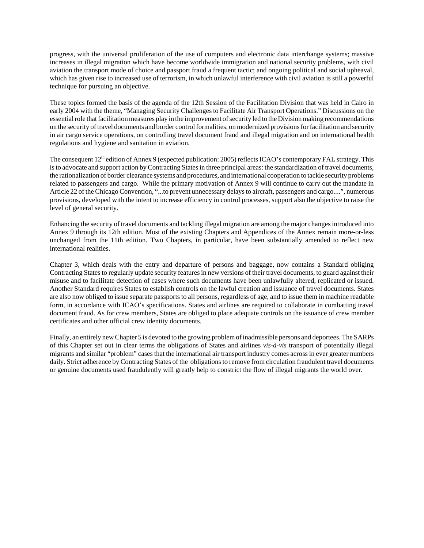progress, with the universal proliferation of the use of computers and electronic data interchange systems; massive increases in illegal migration which have become worldwide immigration and national security problems, with civil aviation the transport mode of choice and passport fraud a frequent tactic; and ongoing political and social upheaval, which has given rise to increased use of terrorism, in which unlawful interference with civil aviation is still a powerful technique for pursuing an objective.

These topics formed the basis of the agenda of the 12th Session of the Facilitation Division that was held in Cairo in early 2004 with the theme, "Managing Security Challenges to Facilitate Air Transport Operations." Discussions on the essential role that facilitation measures play in the improvement of security led to the Division making recommendations on the security of travel documents and border control formalities, on modernized provisions for facilitation and security in air cargo service operations, on controlling travel document fraud and illegal migration and on international health regulations and hygiene and sanitation in aviation.

The consequent 12<sup>th</sup> edition of Annex 9 (expected publication: 2005) reflects ICAO's contemporary FAL strategy. This is to advocate and support action by Contracting States in three principal areas: the standardization of travel documents, the rationalization of border clearance systems and procedures, and international cooperation to tackle security problems related to passengers and cargo. While the primary motivation of Annex 9 will continue to carry out the mandate in Article 22 of the Chicago Convention, "...to prevent unnecessary delays to aircraft, passengers and cargo....", numerous provisions, developed with the intent to increase efficiency in control processes, support also the objective to raise the level of general security.

Enhancing the security of travel documents and tackling illegal migration are among the major changes introduced into Annex 9 through its 12th edition. Most of the existing Chapters and Appendices of the Annex remain more-or-less unchanged from the 11th edition. Two Chapters, in particular, have been substantially amended to reflect new international realities.

Chapter 3, which deals with the entry and departure of persons and baggage, now contains a Standard obliging Contracting States to regularly update security features in new versions of their travel documents, to guard against their misuse and to facilitate detection of cases where such documents have been unlawfully altered, replicated or issued. Another Standard requires States to establish controls on the lawful creation and issuance of travel documents. States are also now obliged to issue separate passports to all persons, regardless of age, and to issue them in machine readable form, in accordance with ICAO's specifications. States and airlines are required to collaborate in combatting travel document fraud. As for crew members, States are obliged to place adequate controls on the issuance of crew member certificates and other official crew identity documents.

Finally, an entirely new Chapter 5 is devoted to the growing problem of inadmissible persons and deportees. The SARPs of this Chapter set out in clear terms the obligations of States and airlines *vis-à-vis* transport of potentially illegal migrants and similar "problem" cases that the international air transport industry comes across in ever greater numbers daily. Strict adherence by Contracting States of the obligations to remove from circulation fraudulent travel documents or genuine documents used fraudulently will greatly help to constrict the flow of illegal migrants the world over.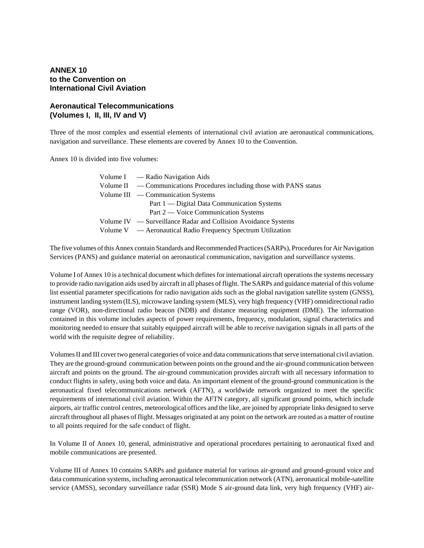#### <span id="page-16-0"></span>**ANNEX 10 to the Convention on International Civil Aviation**

#### **Aeronautical Telecommunications (Volumes I, II, III, IV and V)**

Three of the most complex and essential elements of international civil aviation are aeronautical communications, navigation and surveillance. These elements are covered by Annex 10 to the Convention.

Annex 10 is divided into five volumes:

| Volume I — Radio Navigation Aids                                       |
|------------------------------------------------------------------------|
| Volume II — Communications Procedures including those with PANS status |
| Volume $III \sim$ Communication Systems                                |
| Part 1 — Digital Data Communication Systems                            |
| Part 2 — Voice Communication Systems                                   |
| Volume IV — Surveillance Radar and Collision Avoidance Systems         |
| Volume V — Aeronautical Radio Frequency Spectrum Utilization           |

The five volumes of this Annex contain Standards and Recommended Practices (SARPs), Procedures for Air Navigation Services (PANS) and guidance material on aeronautical communication, navigation and surveillance systems.

Volume I of Annex 10 is a technical document which defines for international aircraft operations the systems necessary to provide radio navigation aids used by aircraft in all phases of flight. The SARPs and guidance material of this volume list essential parameter specifications for radio navigation aids such as the global navigation satellite system (GNSS), instrument landing system (ILS), microwave landing system (MLS), very high frequency (VHF) omnidirectional radio range (VOR), non-directional radio beacon (NDB) and distance measuring equipment (DME). The information contained in this volume includes aspects of power requirements, frequency, modulation, signal characteristics and monitoring needed to ensure that suitably equipped aircraft will be able to receive navigation signals in all parts of the world with the requisite degree of reliability.

Volumes II and III cover two general categories of voice and data communications that serve international civil aviation. They are the ground-ground communication between points on the ground and the air-ground communication between aircraft and points on the ground. The air-ground communication provides aircraft with all necessary information to conduct flights in safety, using both voice and data. An important element of the ground-ground communication is the aeronautical fixed telecommunications network (AFTN), a worldwide network organized to meet the specific requirements of international civil aviation. Within the AFTN category, all significant ground points, which include airports, air traffic control centres, meteorological offices and the like, are joined by appropriate links designed to serve aircraft throughout all phases of flight. Messages originated at any point on the network are routed as a matter of routine to all points required for the safe conduct of flight.

In Volume II of Annex 10, general, administrative and operational procedures pertaining to aeronautical fixed and mobile communications are presented.

Volume III of Annex 10 contains SARPs and guidance material for various air-ground and ground-ground voice and data communication systems, including aeronautical telecommunication network (ATN), aeronautical mobile-satellite service (AMSS), secondary surveillance radar (SSR) Mode S air-ground data link, very high frequency (VHF) air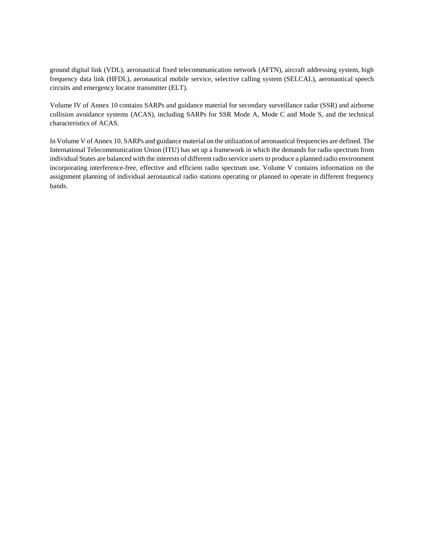ground digital link (VDL), aeronautical fixed telecommunication network (AFTN), aircraft addressing system, high frequency data link (HFDL), aeronautical mobile service, selective calling system (SELCAL), aeronautical speech circuits and emergency locator transmitter (ELT).

Volume IV of Annex 10 contains SARPs and guidance material for secondary surveillance radar (SSR) and airborne collision avoidance systems (ACAS), including SARPs for SSR Mode A, Mode C and Mode S, and the technical characteristics of ACAS.

In Volume V of Annex 10, SARPs and guidance material on the utilization of aeronautical frequencies are defined. The International Telecommunication Union (ITU) has set up a framework in which the demands for radio spectrum from individual States are balanced with the interests of different radio service users to produce a planned radio environment incorporating interference-free, effective and efficient radio spectrum use. Volume V contains information on the assignment planning of individual aeronautical radio stations operating or planned to operate in different frequency bands.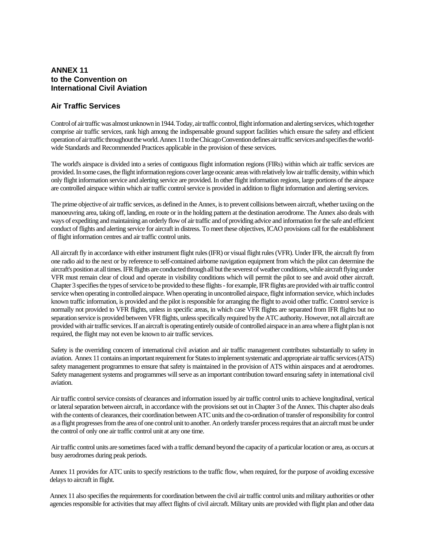#### <span id="page-18-0"></span>**ANNEX 11 to the Convention on International Civil Aviation**

## **Air Traffic Services**

Control of air traffic was almost unknown in 1944. Today, air traffic control, flight information and alerting services, which together comprise air traffic services, rank high among the indispensable ground support facilities which ensure the safety and efficient operation of air traffic throughout the world. Annex 11 to the Chicago Convention defines air traffic services and specifies the worldwide Standards and Recommended Practices applicable in the provision of these services.

The world's airspace is divided into a series of contiguous flight information regions (FIRs) within which air traffic services are provided. In some cases, the flight information regions cover large oceanic areas with relatively low air traffic density, within which only flight information service and alerting service are provided. In other flight information regions, large portions of the airspace are controlled airspace within which air traffic control service is provided in addition to flight information and alerting services.

The prime objective of air traffic services, as defined in the Annex, is to prevent collisions between aircraft, whether taxiing on the manoeuvring area, taking off, landing, en route or in the holding pattern at the destination aerodrome. The Annex also deals with ways of expediting and maintaining an orderly flow of air traffic and of providing advice and information for the safe and efficient conduct of flights and alerting service for aircraft in distress. To meet these objectives, ICAO provisions call for the establishment of flight information centres and air traffic control units.

All aircraft fly in accordance with either instrument flight rules (IFR) or visual flight rules (VFR). Under IFR, the aircraft fly from one radio aid to the next or by reference to self-contained airborne navigation equipment from which the pilot can determine the aircraft's position at all times. IFR flights are conducted through all but the severest of weather conditions, while aircraft flying under VFR must remain clear of cloud and operate in visibility conditions which will permit the pilot to see and avoid other aircraft. Chapter 3 specifies the types of service to be provided to these flights - for example, IFR flights are provided with air traffic control service when operating in controlled airspace. When operating in uncontrolled airspace, flight information service, which includes known traffic information, is provided and the pilot is responsible for arranging the flight to avoid other traffic. Control service is normally not provided to VFR flights, unless in specific areas, in which case VFR flights are separated from IFR flights but no separation service is provided between VFR flights, unless specifically required by the ATC authority. However, not all aircraft are provided with air traffic services. If an aircraft is operating entirely outside of controlled airspace in an area where a flight plan is not required, the flight may not even be known to air traffic services.

Safety is the overriding concern of international civil aviation and air traffic management contributes substantially to safety in aviation. Annex 11 contains an important requirement for States to implement systematic and appropriate air traffic services (ATS) safety management programmes to ensure that safety is maintained in the provision of ATS within airspaces and at aerodromes. Safety management systems and programmes will serve as an important contribution toward ensuring safety in international civil aviation.

Air traffic control service consists of clearances and information issued by air traffic control units to achieve longitudinal, vertical or lateral separation between aircraft, in accordance with the provisions set out in Chapter 3 of the Annex. This chapter also deals with the contents of clearances, their coordination between ATC units and the co-ordination of transfer of responsibility for control as a flight progresses from the area of one control unit to another. An orderly transfer process requires that an aircraft must be under the control of only one air traffic control unit at any one time.

Air traffic control units are sometimes faced with a traffic demand beyond the capacity of a particular location or area, as occurs at busy aerodromes during peak periods.

Annex 11 provides for ATC units to specify restrictions to the traffic flow, when required, for the purpose of avoiding excessive delays to aircraft in flight.

Annex 11 also specifies the requirements for coordination between the civil air traffic control units and military authorities or other agencies responsible for activities that may affect flights of civil aircraft. Military units are provided with flight plan and other data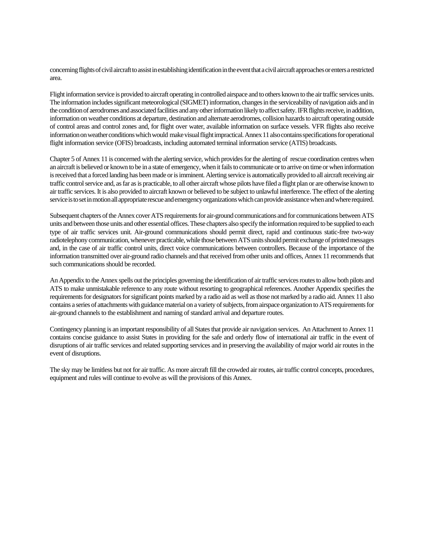concerning flights of civil aircraft to assist in establishing identification in the event that a civil aircraft approaches or enters a restricted area.

Flight information service is provided to aircraft operating in controlled airspace and to others known to the air traffic services units. The information includes significant meteorological (SIGMET) information, changes in the serviceability of navigation aids and in the condition of aerodromes and associated facilities and any other information likely to affect safety. IFR flights receive, in addition, information on weather conditions at departure, destination and alternate aerodromes, collision hazards to aircraft operating outside of control areas and control zones and, for flight over water, available information on surface vessels. VFR flights also receive information on weather conditions which would make visual flight impractical. Annex 11 also contains specifications for operational flight information service (OFIS) broadcasts, including automated terminal information service (ATIS) broadcasts.

Chapter 5 of Annex 11 is concerned with the alerting service, which provides for the alerting of rescue coordination centres when an aircraft is believed or known to be in a state of emergency, when it fails to communicate or to arrive on time or when information is received that a forced landing has been made or is imminent. Alerting service is automatically provided to all aircraft receiving air traffic control service and, as far as is practicable, to all other aircraft whose pilots have filed a flight plan or are otherwise known to air traffic services. It is also provided to aircraft known or believed to be subject to unlawful interference. The effect of the alerting service is to set in motion all appropriate rescue and emergency organizations which can provide assistance when and where required.

Subsequent chapters of the Annex cover ATS requirements for air-ground communications and for communications between ATS units and between those units and other essential offices. These chapters also specify the information required to be supplied to each type of air traffic services unit. Air-ground communications should permit direct, rapid and continuous static-free two-way radiotelephony communication, whenever practicable, while those between ATS units should permit exchange of printed messages and, in the case of air traffic control units, direct voice communications between controllers. Because of the importance of the information transmitted over air-ground radio channels and that received from other units and offices, Annex 11 recommends that such communications should be recorded.

An Appendix to the Annex spells out the principles governing the identification of air traffic services routes to allow both pilots and ATS to make unmistakable reference to any route without resorting to geographical references. Another Appendix specifies the requirements for designators for significant points marked by a radio aid as well as those not marked by a radio aid. Annex 11 also contains a series of attachments with guidance material on a variety of subjects, from airspace organization to ATS requirements for air-ground channels to the establishment and naming of standard arrival and departure routes.

Contingency planning is an important responsibility of all States that provide air navigation services. An Attachment to Annex 11 contains concise guidance to assist States in providing for the safe and orderly flow of international air traffic in the event of disruptions of air traffic services and related supporting services and in preserving the availability of major world air routes in the event of disruptions.

The sky may be limitless but not for air traffic. As more aircraft fill the crowded air routes, air traffic control concepts, procedures, equipment and rules will continue to evolve as will the provisions of this Annex.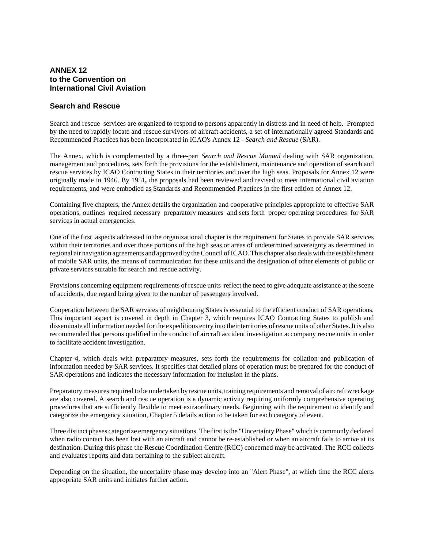#### <span id="page-20-0"></span>**ANNEX 12 to the Convention on International Civil Aviation**

#### **Search and Rescue**

Search and rescue services are organized to respond to persons apparently in distress and in need of help. Prompted by the need to rapidly locate and rescue survivors of aircraft accidents, a set of internationally agreed Standards and Recommended Practices has been incorporated in ICAO's Annex 12 - *Search and Rescue* (SAR).

The Annex, which is complemented by a three-part *Search and Rescue Manual* dealing with SAR organization, management and procedures, sets forth the provisions for the establishment, maintenance and operation of search and rescue services by ICAO Contracting States in their territories and over the high seas. Proposals for Annex 12 were originally made in 1946. By 1951*,* the proposals had been reviewed and revised to meet international civil aviation requirements, and were embodied as Standards and Recommended Practices in the first edition of Annex 12.

Containing five chapters, the Annex details the organization and cooperative principles appropriate to effective SAR operations, outlines required necessary preparatory measures and sets forth proper operating procedures for SAR services in actual emergencies.

One of the first aspects addressed in the organizational chapter is the requirement for States to provide SAR services within their territories and over those portions of the high seas or areas of undetermined sovereignty as determined in regional air navigation agreements and approved by the Council of ICAO. This chapter also deals with the establishment of mobile SAR units, the means of communication for these units and the designation of other elements of public or private services suitable for search and rescue activity.

Provisions concerning equipment requirements of rescue units reflect the need to give adequate assistance at the scene of accidents, due regard being given to the number of passengers involved.

Cooperation between the SAR services of neighbouring States is essential to the efficient conduct of SAR operations. This important aspect is covered in depth in Chapter 3, which requires ICAO Contracting States to publish and disseminate all information needed for the expeditious entry into their territories of rescue units of other States. It is also recommended that persons qualified in the conduct of aircraft accident investigation accompany rescue units in order to facilitate accident investigation.

Chapter 4, which deals with preparatory measures, sets forth the requirements for collation and publication of information needed by SAR services. It specifies that detailed plans of operation must be prepared for the conduct of SAR operations and indicates the necessary information for inclusion in the plans.

Preparatory measures required to be undertaken by rescue units, training requirements and removal of aircraft wreckage are also covered. A search and rescue operation is a dynamic activity requiring uniformly comprehensive operating procedures that are sufficiently flexible to meet extraordinary needs. Beginning with the requirement to identify and categorize the emergency situation, Chapter 5 details action to be taken for each category of event.

Three distinct phases categorize emergency situations. The first is the "Uncertainty Phase" which is commonly declared when radio contact has been lost with an aircraft and cannot be re-established or when an aircraft fails to arrive at its destination. During this phase the Rescue Coordination Centre (RCC) concerned may be activated. The RCC collects and evaluates reports and data pertaining to the subject aircraft.

Depending on the situation, the uncertainty phase may develop into an "Alert Phase", at which time the RCC alerts appropriate SAR units and initiates further action.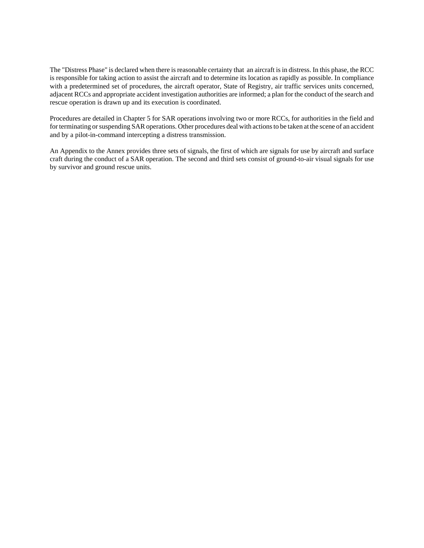The "Distress Phase" is declared when there is reasonable certainty that an aircraft is in distress. In this phase, the RCC is responsible for taking action to assist the aircraft and to determine its location as rapidly as possible. In compliance with a predetermined set of procedures, the aircraft operator, State of Registry, air traffic services units concerned, adjacent RCCs and appropriate accident investigation authorities are informed; a plan for the conduct of the search and rescue operation is drawn up and its execution is coordinated.

Procedures are detailed in Chapter 5 for SAR operations involving two or more RCCs, for authorities in the field and for terminating or suspending SAR operations. Other procedures deal with actions to be taken at the scene of an accident and by a pilot-in-command intercepting a distress transmission.

An Appendix to the Annex provides three sets of signals, the first of which are signals for use by aircraft and surface craft during the conduct of a SAR operation. The second and third sets consist of ground-to-air visual signals for use by survivor and ground rescue units.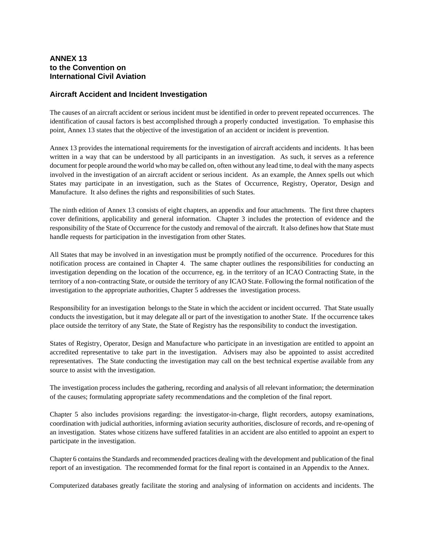## <span id="page-22-0"></span>**ANNEX 13 to the Convention on International Civil Aviation**

#### **Aircraft Accident and Incident Investigation**

The causes of an aircraft accident or serious incident must be identified in order to prevent repeated occurrences. The identification of causal factors is best accomplished through a properly conducted investigation. To emphasise this point, Annex 13 states that the objective of the investigation of an accident or incident is prevention.

Annex 13 provides the international requirements for the investigation of aircraft accidents and incidents. It has been written in a way that can be understood by all participants in an investigation. As such, it serves as a reference document for people around the world who may be called on, often without any lead time, to deal with the many aspects involved in the investigation of an aircraft accident or serious incident. As an example, the Annex spells out which States may participate in an investigation, such as the States of Occurrence, Registry, Operator, Design and Manufacture. It also defines the rights and responsibilities of such States.

The ninth edition of Annex 13 consists of eight chapters, an appendix and four attachments. The first three chapters cover definitions, applicability and general information. Chapter 3 includes the protection of evidence and the responsibility of the State of Occurrence for the custody and removal of the aircraft. It also defines how that State must handle requests for participation in the investigation from other States.

All States that may be involved in an investigation must be promptly notified of the occurrence. Procedures for this notification process are contained in Chapter 4. The same chapter outlines the responsibilities for conducting an investigation depending on the location of the occurrence, eg. in the territory of an ICAO Contracting State, in the territory of a non-contracting State, or outside the territory of any ICAO State. Following the formal notification of the investigation to the appropriate authorities, Chapter 5 addresses the investigation process.

Responsibility for an investigation belongs to the State in which the accident or incident occurred. That State usually conducts the investigation, but it may delegate all or part of the investigation to another State. If the occurrence takes place outside the territory of any State, the State of Registry has the responsibility to conduct the investigation.

States of Registry, Operator, Design and Manufacture who participate in an investigation are entitled to appoint an accredited representative to take part in the investigation. Advisers may also be appointed to assist accredited representatives. The State conducting the investigation may call on the best technical expertise available from any source to assist with the investigation.

The investigation process includes the gathering, recording and analysis of all relevant information; the determination of the causes; formulating appropriate safety recommendations and the completion of the final report.

Chapter 5 also includes provisions regarding: the investigator-in-charge, flight recorders, autopsy examinations, coordination with judicial authorities, informing aviation security authorities, disclosure of records, and re-opening of an investigation. States whose citizens have suffered fatalities in an accident are also entitled to appoint an expert to participate in the investigation.

Chapter 6 contains the Standards and recommended practices dealing with the development and publication of the final report of an investigation. The recommended format for the final report is contained in an Appendix to the Annex.

Computerized databases greatly facilitate the storing and analysing of information on accidents and incidents. The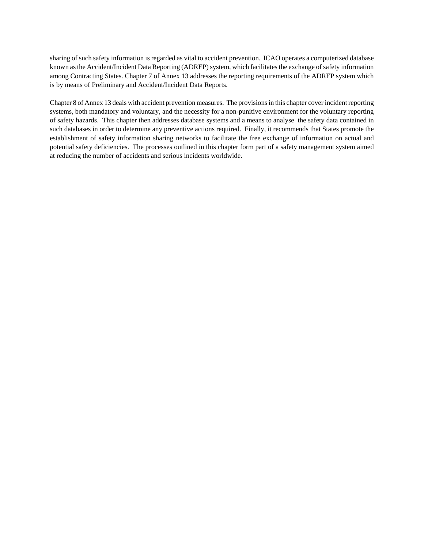sharing of such safety information is regarded as vital to accident prevention. ICAO operates a computerized database known as the Accident/Incident Data Reporting (ADREP) system, which facilitates the exchange of safety information among Contracting States. Chapter 7 of Annex 13 addresses the reporting requirements of the ADREP system which is by means of Preliminary and Accident/Incident Data Reports.

Chapter 8 of Annex 13 deals with accident prevention measures. The provisions in this chapter cover incident reporting systems, both mandatory and voluntary, and the necessity for a non-punitive environment for the voluntary reporting of safety hazards. This chapter then addresses database systems and a means to analyse the safety data contained in such databases in order to determine any preventive actions required. Finally, it recommends that States promote the establishment of safety information sharing networks to facilitate the free exchange of information on actual and potential safety deficiencies. The processes outlined in this chapter form part of a safety management system aimed at reducing the number of accidents and serious incidents worldwide.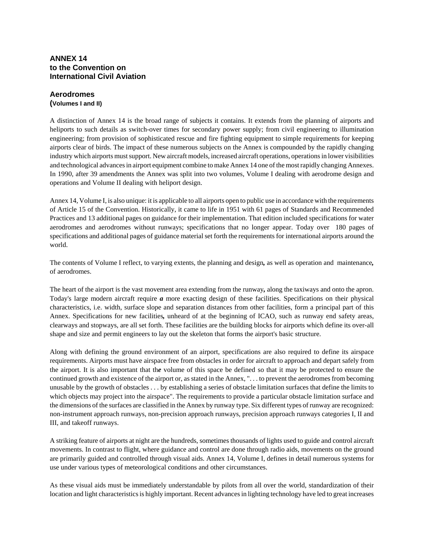## <span id="page-24-0"></span>**ANNEX 14 to the Convention on International Civil Aviation**

#### **Aerodromes**

**(Volumes I and II)**

A distinction of Annex 14 is the broad range of subjects it contains. It extends from the planning of airports and heliports to such details as switch-over times for secondary power supply; from civil engineering to illumination engineering; from provision of sophisticated rescue and fire fighting equipment to simple requirements for keeping airports clear of birds. The impact of these numerous subjects on the Annex is compounded by the rapidly changing industry which airports must support. New aircraft models, increased aircraft operations, operations in lower visibilities and technological advances in airport equipment combine to make Annex 14 one of the most rapidly changing Annexes. In 1990, after 39 amendments the Annex was split into two volumes, Volume I dealing with aerodrome design and operations and Volume II dealing with heliport design.

Annex 14, Volume I, is also unique: it is applicable to all airports open to public use in accordance with the requirements of Article 15 of the Convention. Historically, it came to life in 1951 with 61 pages of Standards and Recommended Practices and 13 additional pages on guidance for their implementation. That edition included specifications for water aerodromes and aerodromes without runways; specifications that no longer appear. Today over 180 pages of specifications and additional pages of guidance material set forth the requirements for international airports around the world.

The contents of Volume I reflect, to varying extents, the planning and design*,* as well as operation and maintenance*,* of aerodromes.

The heart of the airport is the vast movement area extending from the runway*,* along the taxiways and onto the apron. Today's large modern aircraft require *a* more exacting design of these facilities. Specifications on their physical characteristics, i.e. width, surface slope and separation distances from other facilities, form a principal part of this Annex. Specifications for new facilities*,* unheard of at the beginning of ICAO, such as runway end safety areas, clearways and stopways, are all set forth. These facilities are the building blocks for airports which define its over-all shape and size and permit engineers to lay out the skeleton that forms the airport's basic structure.

Along with defining the ground environment of an airport, specifications are also required to define its airspace requirements. Airports must have airspace free from obstacles in order for aircraft to approach and depart safely from the airport. It is also important that th*e* volume of this space be defined so that it may be protected to ensure the continued growth and existence of the airport or, as stated in the Annex, ". . . to prevent the aerodromes from becoming unusable by the growth of obstacles . . . by establishing a series of obstacle limitation surfaces that define the limits to which objects may project into the airspace". The requirements to provide a particular obstacle limitation surface and the dimensions of the surfaces are classified in the Annex by runway type. Six different types of runway are recognized: non-instrument approach runways, non-precision approach runways, precision approach runways categories I, II and III, and takeoff runways.

A striking feature of airports at night are the hundreds, sometimes thousands of lights used to guide and control aircraft movements. In contrast to flight, where guidance and control are done through radio aids, movements on the ground are primarily guided and controlled through visual aids. Annex 14, Volume I, defines in detail numerous systems for use under various types of meteorological conditions and other circumstances.

As these visual aids must be immediately understandable by pilots from all over the world, standardization of their location and light characteristics is highly important. Recent advances in lighting technology have led to great increases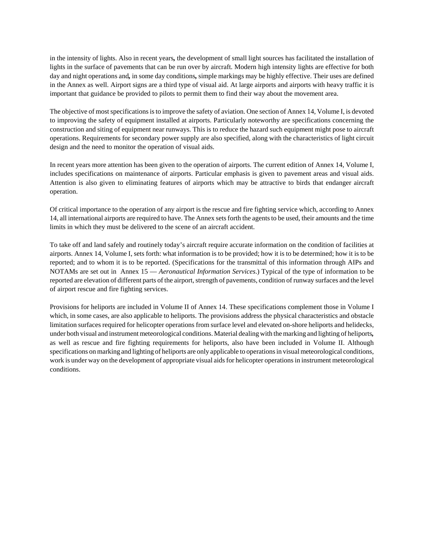<span id="page-25-0"></span>in the intensity of lights. Also in recent years*,* the development of small light sources has facilitated the installation of lights in the surface of pavements that can be run over by aircraft. Modern high intensity lights are effective for both day and night operations and*,* in some day conditions*,* simple markings may be highly effective. Their uses are defined in the Annex as well. Airport signs are a third type of visual aid. At large airports and airports with heavy traffic it is important that guidance be provided to pilots to permit them to find their way about the movement area.

The objective of most specifications is to improve the safety of aviation. One section of Annex 14, Volume I, is devoted to improving the safety of equipment installed at airports. Particularly noteworthy are specifications concerning the construction and siting of equipment near runways. This is to reduce the hazard such equipment might pose to aircraft operations. Requirements for secondary power supply are also specified, along with the characteristics of light circuit design and the need to monitor the operation of visual aids.

In recent years more attention has been given to the operation of airports. The current edition of Annex 14, Volume I, includes specifications on maintenance of airports. Particular emphasis is given to pavement areas and visual aids. Attention is also given to eliminating features of airports which may be attractive to birds that endanger aircraft operation.

Of critical importance to the operation of any airport is the rescue and fire fighting service which, according to Annex 14, all international airports are required to have. The Annex sets forth the agents to be used, their amounts and the time limits in which they must be delivered to the scene of an aircraft accident.

To take off and land safely and routinely today's aircraft require accurate information on the condition of facilities at airports. Annex 14, Volume I, sets forth: what information is to be provided; how it is to be determined; how it is to be reported; and to whom it is to be reported. (Specifications for the transmittal of this information through AIPs and NOTAMs are set out in Annex 15 — *Aeronautical Information Services*.) Typical of the type of information to be reported are elevation of different parts of the airport, strength of pavements, condition of runway surfaces and the level of airport rescue and fire fighting services.

Provisions for heliports are included in Volume II of Annex 14. These specifications complement those in Volume I which, in some cases, are also applicable to heliports. The provisions address the physical characteristics and obstacle limitation surfaces required for helicopter operations from surface level and elevated on-shore heliports and helidecks, under both visual and instrument meteorological conditions. Material dealing with the marking and lighting of heliports*,* as well as rescue and fire fighting requirements for heliports, also have been included in Volume II. Although specifications on marking and lighting of heliports are only applicable to operations in visual meteorological conditions, work is under way on the development of appropriate visual aids for helicopter operations in instrument meteorological conditions.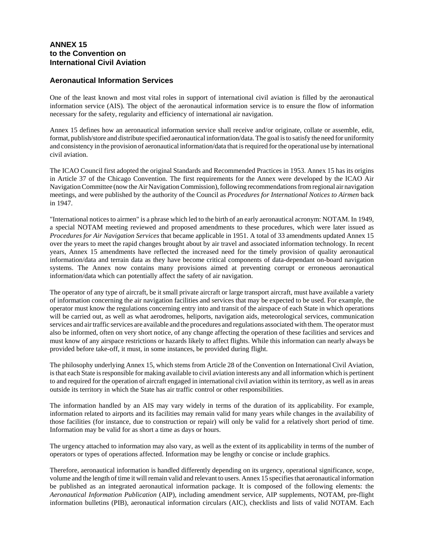## **ANNEX 15 to the Convention on International Civil Aviation**

#### **Aeronautical Information Services**

One of the least known and most vital roles in support of international civil aviation is filled by the aeronautical information service (AIS). The object of the aeronautical information service is to ensure the flow of information necessary for the safety, regularity and efficiency of international air navigation.

Annex 15 defines how an aeronautical information service shall receive and/or originate, collate or assemble, edit, format, publish/store and distribute specified aeronautical information/data. The goal is to satisfy the need for uniformity and consistency in the provision of aeronautical information/data that is required for the operational use by international civil aviation.

The ICAO Council first adopted the original Standards and Recommended Practices in 1953. Annex 15 has its origins in Article 37 of the Chicago Convention. The first requirements for the Annex were developed by the ICAO Air Navigation Committee (now the Air Navigation Commission), following recommendations from regional air navigation meetings, and were published by the authority of the Council as *Procedures for International Notices to Airmen* back in 1947.

"International notices to airmen" is a phrase which led to the birth of an early aeronautical acronym: NOTAM. In 1949, a special NOTAM meeting reviewed and proposed amendments to these procedures, which were later issued as *Procedures for Air Navigation Services* that became applicable in 1951. A total of 33 amendments updated Annex 15 over the years to meet the rapid changes brought about by air travel and associated information technology. In recent years, Annex 15 amendments have reflected the increased need for the timely provision of quality aeronautical information/data and terrain data as they have become critical components of data-dependant on-board navigation systems. The Annex now contains many provisions aimed at preventing corrupt or erroneous aeronautical information/data which can potentially affect the safety of air navigation.

The operator of any type of aircraft, be it small private aircraft or large transport aircraft, must have available a variety of information concerning the air navigation facilities and services that may be expected to be used. For example, the operator must know the regulations concerning entry into and transit of the airspace of each State in which operations will be carried out, as well as what aerodromes, heliports, navigation aids, meteorological services, communication services and air traffic services are available and the procedures and regulations associated with them. The operator must also be informed, often on very short notice, of any change affecting the operation of these facilities and services and must know of any airspace restrictions or hazards likely to affect flights. While this information can nearly always be provided before take-off, it must, in some instances, be provided during flight.

The philosophy underlying Annex 15, which stems from Article 28 of the Convention on International Civil Aviation, is that each State is responsible for making available to civil aviation interests any and all information which is pertinent to and required for the operation of aircraft engaged in international civil aviation within its territory, as well as in areas outside its territory in which the State has air traffic control or other responsibilities.

The information handled by an AIS may vary widely in terms of the duration of its applicability. For example, information related to airports and its facilities may remain valid for many years while changes in the availability of those facilities (for instance, due to construction or repair) will only be valid for a relatively short period of time. Information may be valid for as short a time as days or hours.

The urgency attached to information may also vary, as well as the extent of its applicability in terms of the number of operators or types of operations affected. Information may be lengthy or concise or include graphics.

Therefore, aeronautical information is handled differently depending on its urgency, operational significance, scope, volume and the length of time it will remain valid and relevant to users. Annex 15 specifies that aeronautical information be published as an integrated aeronautical information package. It is composed of the following elements: the *Aeronautical Information Publication* (AIP), including amendment service, AIP supplements, NOTAM, pre-flight information bulletins (PIB), aeronautical information circulars (AIC), checklists and lists of valid NOTAM. Each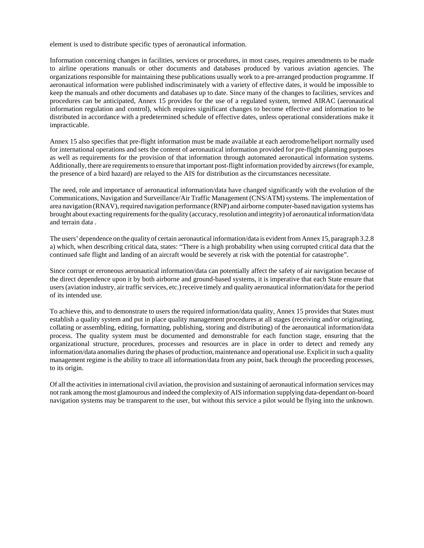element is used to distribute specific types of aeronautical information.

Information concerning changes in facilities, services or procedures, in most cases, requires amendments to be made to airline operations manuals or other documents and databases produced by various aviation agencies. The organizations responsible for maintaining these publications usually work to a pre-arranged production programme. If aeronautical information were published indiscriminately with a variety of effective dates, it would be impossible to keep the manuals and other documents and databases up to date. Since many of the changes to facilities, services and procedures can be anticipated, Annex 15 provides for the use of a regulated system, termed AIRAC (aeronautical information regulation and control), which requires significant changes to become effective and information to be distributed in accordance with a predetermined schedule of effective dates, unless operational considerations make it impracticable.

Annex 15 also specifies that pre-flight information must be made available at each aerodrome/heliport normally used for international operations and sets the content of aeronautical information provided for pre-flight planning purposes as well as requirements for the provision of that information through automated aeronautical information systems. Additionally, there are requirements to ensure that important post-flight information provided by aircrews (for example, the presence of a bird hazard) are relayed to the AIS for distribution as the circumstances necessitate.

The need, role and importance of aeronautical information/data have changed significantly with the evolution of the Communications, Navigation and Surveillance/Air Traffic Management (CNS/ATM) systems. The implementation of area navigation (RNAV), required navigation performance (RNP) and airborne computer-based navigation systems has brought about exacting requirements for the quality (accuracy, resolution and integrity) of aeronautical information/data and terrain data .

The users' dependence on the quality of certain aeronautical information/data is evident from Annex 15, paragraph 3.2.8 a) which, when describing critical data, states: "There is a high probability when using corrupted critical data that the continued safe flight and landing of an aircraft would be severely at risk with the potential for catastrophe".

Since corrupt or erroneous aeronautical information/data can potentially affect the safety of air navigation because of the direct dependence upon it by both airborne and ground-based systems, it is imperative that each State ensure that users (aviation industry, air traffic services, etc.) receive timely and quality aeronautical information/data for the period of its intended use.

To achieve this, and to demonstrate to users the required information/data quality, Annex 15 provides that States must establish a quality system and put in place quality management procedures at all stages (receiving and/or originating, collating or assembling, editing, formatting, publishing, storing and distributing) of the aeronautical information/data process. The quality system must be documented and demonstrable for each function stage, ensuring that the organizational structure, procedures, processes and resources are in place in order to detect and remedy any information/data anomalies during the phases of production, maintenance and operational use. Explicit in such a quality management regime is the ability to trace all information/data from any point, back through the proceeding processes, to its origin.

Of all the activities in international civil aviation, the provision and sustaining of aeronautical information services may not rank among the most glamourous and indeed the complexity of AIS information supplying data-dependant on-board navigation systems may be transparent to the user, but without this service a pilot would be flying into the unknown.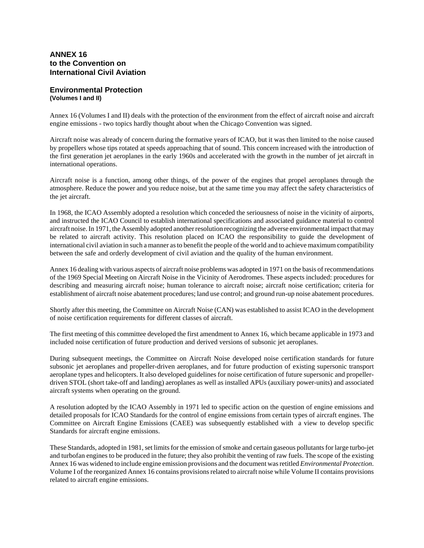## <span id="page-28-0"></span>**ANNEX 16 to the Convention on International Civil Aviation**

#### **Environmental Protection (Volumes I and II)**

Annex 16 (Volumes I and II) deals with the protection of the environment from the effect of aircraft noise and aircraft engine emissions - two topics hardly thought about when the Chicago Convention was signed.

Aircraft noise was already of concern during the formative years of ICAO, but it was then limited to the noise caused by propellers whose tips rotated at speeds approaching that of sound. This concern increased with the introduction of the first generation jet aeroplanes in the early 1960s and accelerated with the growth in the number of jet aircraft in international operations.

Aircraft noise is a function, among other things, of the power of the engines that propel aeroplanes through the atmosphere. Reduce the power and you reduce noise, but at the same time you may affect the safety characteristics of the jet aircraft.

In 1968, the ICAO Assembly adopted a resolution which conceded the seriousness of noise in the vicinity of airports, and instructed the ICAO Council to establish international specifications and associated guidance material to control aircraft noise. In 1971, the Assembly adopted another resolution recognizing the adverse environmental impact that may be related to aircraft activity. This resolution placed on ICAO the responsibility to guide the development of international civil aviation in such a manner as to benefit the people of the world and to achieve maximum compatibility between the safe and orderly development of civil aviation and the quality of the human environment.

Annex 16 dealing with various aspects of aircraft noise problems was adopted in 1971 on the basis of recommendations of the 1969 Special Meeting on Aircraft Noise in the Vicinity of Aerodromes. These aspects included: procedures for describing and measuring aircraft noise; human tolerance to aircraft noise; aircraft noise certification; criteria for establishment of aircraft noise abatement procedures; land use control; and ground run-up noise abatement procedures.

Shortly after this meeting, the Committee on Aircraft Noise (CAN) was established to assist ICAO in the development of noise certification requirements for different classes of aircraft.

The first meeting of this committee developed the first amendment to Annex 16, which became applicable in 1973 and included noise certification of future production and derived versions of subsonic jet aeroplanes.

During subsequent meetings, the Committee on Aircraft Noise developed noise certification standards for future subsonic jet aeroplanes and propeller-driven aeroplanes, and for future production of existing supersonic transport aeroplane types and helicopters. It also developed guidelines for noise certification of future supersonic and propellerdriven STOL (short take-off and landing) aeroplanes as well as installed APUs (auxiliary power-units) and associated aircraft systems when operating on the ground.

A resolution adopted by the ICAO Assembly in 1971 led to specific action on the question of engine emissions and detailed proposals for ICAO Standards for the control of engine emissions from certain types of aircraft engines. The Committee on Aircraft Engine Emissions (CAEE) was subsequently established with a view to develop specific Standards for aircraft engine emissions.

These Standards, adopted in 1981, set limits for the emission of smoke and certain gaseous pollutants for large turbo-jet and turbofan engines to be produced in the future; they also prohibit the venting of raw fuels. The scope of the existing Annex 16 was widened to include engine emission provisions and the document was retitled *Environmental Protection*. Volume I of the reorganized Annex 16 contains provisions related to aircraft noise while Volume II contains provisions related to aircraft engine emissions.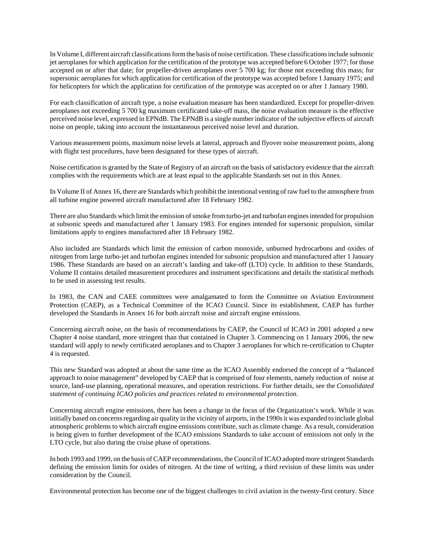In Volume I, different aircraft classifications form the basis of noise certification. These classifications include subsonic jet aeroplanes for which application for the certification of the prototype was accepted before 6 October 1977; for those accepted on or after that date; for propeller-driven aeroplanes over 5 700 kg; for those not exceeding this mass; for supersonic aeroplanes for which application for certification of the prototype was accepted before 1 January 1975; and for helicopters for which the application for certification of the prototype was accepted on or after 1 January 1980.

For each classification of aircraft type, a noise evaluation measure has been standardized. Except for propeller-driven aeroplanes not exceeding 5 700 kg maximum certificated take-off mass, the noise evaluation measure is the effective perceived noise level, expressed in EPNdB. The EPNdB is a single number indicator of the subjective effects of aircraft noise on people, taking into account the instantaneous perceived noise level and duration.

Various measurement points, maximum noise levels at lateral, approach and flyover noise measurement points, along with flight test procedures, have been designated for these types of aircraft.

Noise certification is granted by the State of Registry of an aircraft on the basis of satisfactory evidence that the aircraft complies with the requirements which are at least equal to the applicable Standards set out in this Annex.

In Volume II of Annex 16, there are Standards which prohibit the intentional venting of raw fuel to the atmosphere from all turbine engine powered aircraft manufactured after 18 February 1982.

There are also Standards which limit the emission of smoke from turbo-jet and turbofan engines intended for propulsion at subsonic speeds and manufactured after 1 January 1983. For engines intended for supersonic propulsion, similar limitations apply to engines manufactured after 18 February 1982.

Also included are Standards which limit the emission of carbon monoxide, unburned hydrocarbons and oxides of nitrogen from large turbo-jet and turbofan engines intended for subsonic propulsion and manufactured after 1 January 1986. These Standards are based on an aircraft's landing and take-off (LTO) cycle. In addition to these Standards, Volume II contains detailed measurement procedures and instrument specifications and details the statistical methods to be used in assessing test results.

In 1983, the CAN and CAEE committees were amalgamated to form the Committee on Aviation Environment Protection (CAEP), as a Technical Committee of the ICAO Council. Since its establishment, CAEP has further developed the Standards in Annex 16 for both aircraft noise and aircraft engine emissions.

Concerning aircraft noise, on the basis of recommendations by CAEP, the Council of ICAO in 2001 adopted a new Chapter 4 noise standard, more stringent than that contained in Chapter 3. Commencing on 1 January 2006, the new standard will apply to newly certificated aeroplanes and to Chapter 3 aeroplanes for which re-certification to Chapter 4 is requested.

This new Standard was adopted at about the same time as the ICAO Assembly endorsed the concept of a "balanced approach to noise management" developed by CAEP that is comprised of four elements, namely reduction of noise at source, land-use planning, operational measures, and operation restrictions. For further details, see the *Consolidated statement of continuing ICAO policies and practices related to environmental protection*.

Concerning aircraft engine emissions, there has been a change in the focus of the Organization's work. While it was initially based on concerns regarding air quality in the vicinity of airports, in the 1990s it was expanded to include global atmospheric problems to which aircraft engine emissions contribute, such as climate change. As a result, consideration is being given to further development of the ICAO emissions Standards to take account of emissions not only in the LTO cycle, but also during the cruise phase of operations.

In both 1993 and 1999, on the basis of CAEP recommendations, the Council of ICAO adopted more stringent Standards defining the emission limits for oxides of nitrogen. At the time of writing, a third revision of these limits was under consideration by the Council.

Environmental protection has become one of the biggest challenges to civil aviation in the twenty-first century. Since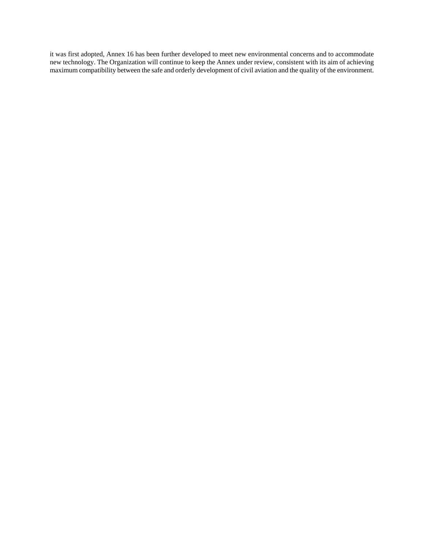it was first adopted, Annex 16 has been further developed to meet new environmental concerns and to accommodate new technology. The Organization will continue to keep the Annex under review, consistent with its aim of achieving maximum compatibility between the safe and orderly development of civil aviation and the quality of the environment.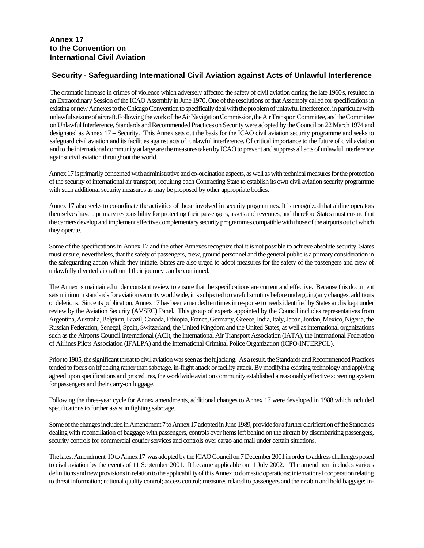# <span id="page-31-0"></span>**Annex 17 to the Convention on International Civil Aviation**

# **Security - Safeguarding International Civil Aviation against Acts of Unlawful Interference**

The dramatic increase in crimes of violence which adversely affected the safety of civil aviation during the late 1960's, resulted in an Extraordinary Session of the ICAO Assembly in June 1970. One of the resolutions of that Assembly called for specifications in existing or new Annexes to the Chicago Convention to specifically deal with the problem of unlawful interference, in particular with unlawful seizure of aircraft. Following the work of the Air Navigation Commission, the Air Transport Committee, and the Committee on Unlawful Interference, Standards and Recommended Practices on Security were adopted by the Council on 22 March 1974 and designated as Annex 17 – Security. This Annex sets out the basis for the ICAO civil aviation security programme and seeks to safeguard civil aviation and its facilities against acts of unlawful interference. Of critical importance to the future of civil aviation and to the international community at large are the measures taken by ICAO to prevent and suppress all acts of unlawful interference against civil aviation throughout the world.

Annex 17 is primarily concerned with administrative and co-ordination aspects, as well as with technical measures for the protection of the security of international air transport, requiring each Contracting State to establish its own civil aviation security programme with such additional security measures as may be proposed by other appropriate bodies.

Annex 17 also seeks to co-ordinate the activities of those involved in security programmes. It is recognized that airline operators themselves have a primary responsibility for protecting their passengers, assets and revenues, and therefore States must ensure that the carriers develop and implement effective complementary security programmes compatible with those of the airports out of which they operate.

Some of the specifications in Annex 17 and the other Annexes recognize that it is not possible to achieve absolute security. States must ensure, nevertheless, that the safety of passengers, crew, ground personnel and the general public is a primary consideration in the safeguarding action which they initiate. States are also urged to adopt measures for the safety of the passengers and crew of unlawfully diverted aircraft until their journey can be continued.

The Annex is maintained under constant review to ensure that the specifications are current and effective. Because this document sets minimum standards for aviation security worldwide, it is subjected to careful scrutiny before undergoing any changes, additions or deletions. Since its publication, Annex 17 has been amended ten times in response to needs identified by States and is kept under review by the Aviation Security (AVSEC) Panel. This group of experts appointed by the Council includes representatives from Argentina, Australia, Belgium, Brazil, Canada, Ethiopia, France, Germany, Greece, India, Italy, Japan, Jordan, Mexico, Nigeria, the Russian Federation, Senegal, Spain, Switzerland, the United Kingdom and the United States, as well as international organizations such as the Airports Council International (ACI), the International Air Transport Association (IATA), the International Federation of Airlines Pilots Association (IFALPA) and the International Criminal Police Organization (ICPO-INTERPOL).

Prior to 1985, the significant threat to civil aviation was seen as the hijacking. As a result, the Standards and Recommended Practices tended to focus on hijacking rather than sabotage, in-flight attack or facility attack. By modifying existing technology and applying agreed upon specifications and procedures, the worldwide aviation community established a reasonably effective screening system for passengers and their carry-on luggage.

Following the three-year cycle for Annex amendments, additional changes to Annex 17 were developed in 1988 which included specifications to further assist in fighting sabotage.

Some of the changes included in Amendment 7 to Annex 17 adopted in June 1989, provide for a further clarification of the Standards dealing with reconciliation of baggage with passengers, controls over items left behind on the aircraft by disembarking passengers, security controls for commercial courier services and controls over cargo and mail under certain situations.

The latest Amendment 10 to Annex 17 was adopted by the ICAO Council on 7 December 2001 in order to address challenges posed to civil aviation by the events of 11 September 2001. It became applicable on 1 July 2002. The amendment includes various definitions and new provisions in relation to the applicability of this Annex to domestic operations; international cooperation relating to threat information; national quality control; access control; measures related to passengers and their cabin and hold baggage; in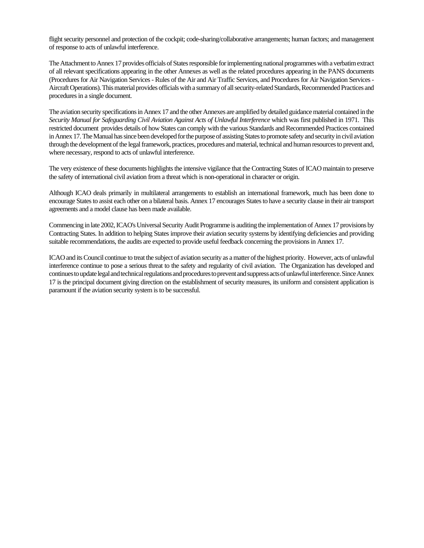flight security personnel and protection of the cockpit; code-sharing/collaborative arrangements; human factors; and management of response to acts of unlawful interference.

The Attachment to Annex 17 provides officials of States responsible for implementing national programmes with a verbatim extract of all relevant specifications appearing in the other Annexes as well as the related procedures appearing in the PANS documents (Procedures for Air Navigation Services - Rules of the Air and Air Traffic Services, and Procedures for Air Navigation Services - Aircraft Operations). This material provides officials with a summary of all security-related Standards, Recommended Practices and procedures in a single document.

The aviation security specifications in Annex 17 and the other Annexes are amplified by detailed guidance material contained in the *Security Manual for Safeguarding Civil Aviation Against Acts of Unlawful Interference* which was first published in 1971. This restricted document provides details of how States can comply with the various Standards and Recommended Practices contained in Annex 17. The Manual has since been developed for the purpose of assisting States to promote safety and security in civil aviation through the development of the legal framework, practices, procedures and material, technical and human resources to prevent and, where necessary, respond to acts of unlawful interference.

The very existence of these documents highlights the intensive vigilance that the Contracting States of ICAO maintain to preserve the safety of international civil aviation from a threat which is non-operational in character or origin.

Although ICAO deals primarily in multilateral arrangements to establish an international framework, much has been done to encourage States to assist each other on a bilateral basis. Annex 17 encourages States to have a security clause in their air transport agreements and a model clause has been made available.

Commencing in late 2002, ICAO's Universal Security Audit Programme is auditing the implementation of Annex 17 provisions by Contracting States. In addition to helping States improve their aviation security systems by identifying deficiencies and providing suitable recommendations, the audits are expected to provide useful feedback concerning the provisions in Annex 17.

ICAO and its Council continue to treat the subject of aviation security as a matter of the highest priority. However, acts of unlawful interference continue to pose a serious threat to the safety and regularity of civil aviation. The Organization has developed and continues to update legal and technical regulations and procedures to prevent and suppress acts of unlawful interference. Since Annex 17 is the principal document giving direction on the establishment of security measures, its uniform and consistent application is paramount if the aviation security system is to be successful.